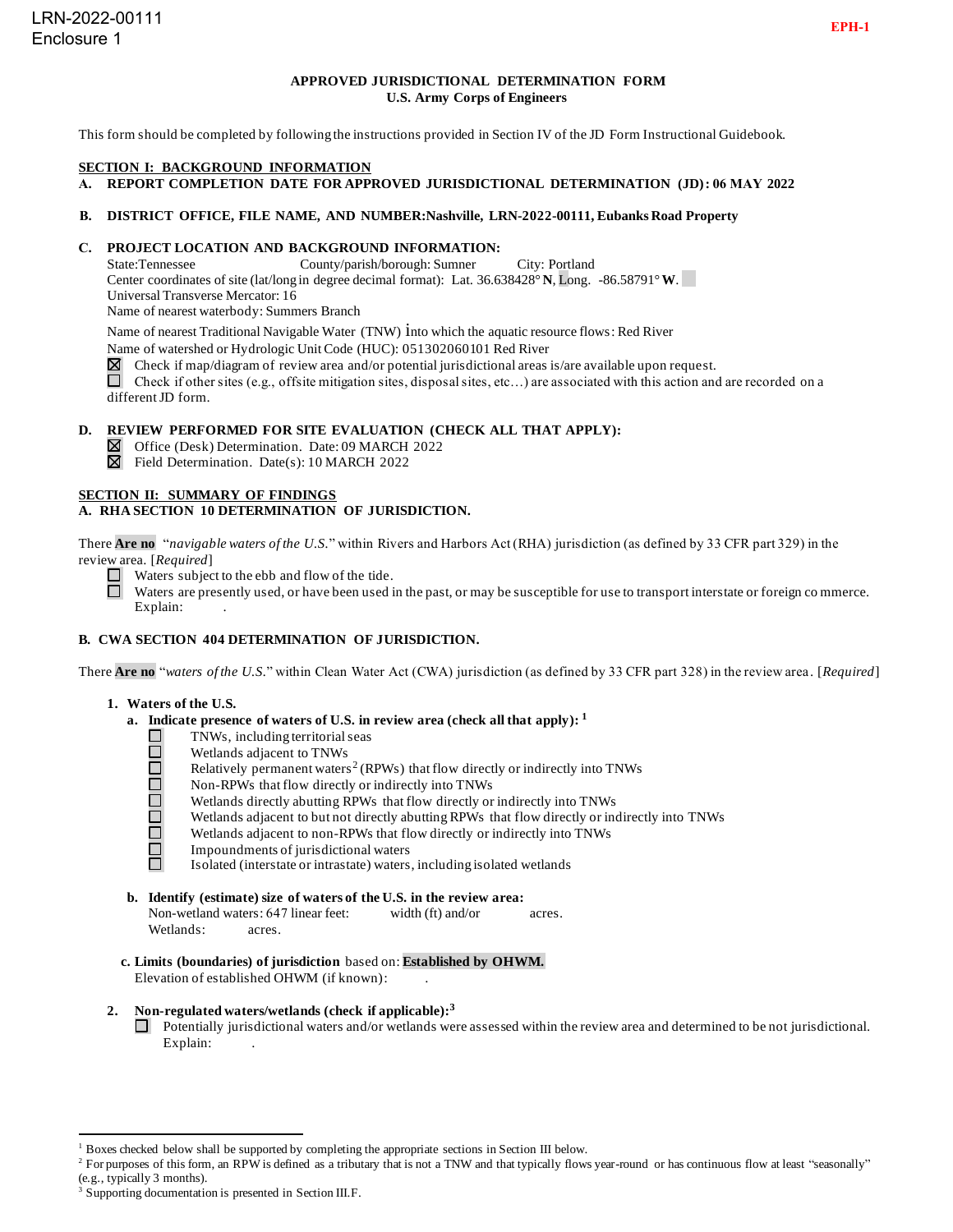# **APPROVED JURISDICTIONAL DETERMINATION FORM U.S. Army Corps of Engineers**

This form should be completed by following the instructions provided in Section IV of the JD Form Instructional Guidebook.

#### **SECTION I: BACKGROUND INFORMATION**

**A. REPORT COMPLETION DATE FOR APPROVED JURISDICTIONAL DETERMINATION (JD): 06 MAY 2022**

#### **B. DISTRICT OFFICE, FILE NAME, AND NUMBER:Nashville, LRN-2022-00111, Eubanks Road Property**

# **C. PROJECT LOCATION AND BACKGROUND INFORMATION:**<br>State:Tennessee County/parish/borough: Sumner

County/parish/borough: Sumner City: Portland Center coordinates of site (lat/long in degree decimal format): Lat. 36.638428° **N**, Long. -86.58791°**W**. Universal Transverse Mercator: 16 Name of nearest waterbody: Summers Branch

Name of nearest Traditional Navigable Water (TNW) into which the aquatic resource flows: Red River

Name of watershed or Hydrologic Unit Code (HUC): 051302060101 Red River

 $\boxtimes$  Check if map/diagram of review area and/or potential jurisdictional areas is/are available upon request.

Check if other sites (e.g., offsite mitigation sites, disposal sites, etc...) are associated with this action and are recorded on a different JD form.

# **D. REVIEW PERFORMED FOR SITE EVALUATION (CHECK ALL THAT APPLY):**

- Office (Desk) Determination. Date: 09 MARCH 2022
- $\boxtimes$  Field Determination. Date(s): 10 MARCH 2022

## **SECTION II: SUMMARY OF FINDINGS**

## **A. RHA SECTION 10 DETERMINATION OF JURISDICTION.**

There **Are no** "*navigable waters of the U.S.*" within Rivers and Harbors Act (RHA) jurisdiction (as defined by 33 CFR part 329) in the review area. [*Required*]

- $\Box$  Waters subject to the ebb and flow of the tide.
- Waters are presently used, or have been used in the past, or may be susceptible for use to transport interstate or foreign co mmerce.  $\Box$ Explain:

## **B. CWA SECTION 404 DETERMINATION OF JURISDICTION.**

There **Are no** "*waters of the U.S.*" within Clean Water Act (CWA) jurisdiction (as defined by 33 CFR part 328) in the review area . [*Required*]

#### **1. Waters of the U.S.**

- **a. Indicate presence of waters of U.S. in review area (check all that apply): 1**
	- TNWs, including territorial seas
	- Wetlands adjacent to TNWs
	- 00000 Relatively permanent waters<sup>2</sup> (RPWs) that flow directly or indirectly into TNWs
		- Non-RPWs that flow directly or indirectly into TNWs
		- Wetlands directly abutting RPWs that flow directly or indirectly into TNWs
		- Wetlands adjacent to but not directly abutting RPWs that flow directly or indirectly into TNWs
	- ō Wetlands adjacent to non-RPWs that flow directly or indirectly into TNWs
	- $\Box$ Impoundments of jurisdictional waters ñ.

Isolated (interstate or intrastate) waters, including isolated wetlands

**b. Identify (estimate) size of waters of the U.S. in the review area:**

Non-wetland waters: 647 linear feet: width (ft) and/or acres. Wetlands: acres.

**c. Limits (boundaries) of jurisdiction** based on: **Established by OHWM.** Elevation of established OHWM (if known): .

## **2. Non-regulated waters/wetlands (check if applicable): 3**

Potentially jurisdictional waters and/or wetlands were assessed within the review area and determined to be not jurisdictional. Explain:

<sup>1</sup> Boxes checked below shall be supported by completing the appropriate sections in Section III below.

<sup>&</sup>lt;sup>2</sup> For purposes of this form, an RPW is defined as a tributary that is not a TNW and that typically flows year-round or has continuous flow at least "seasonally" (e.g., typically 3 months).

<sup>&</sup>lt;sup>3</sup> Supporting documentation is presented in Section III.F.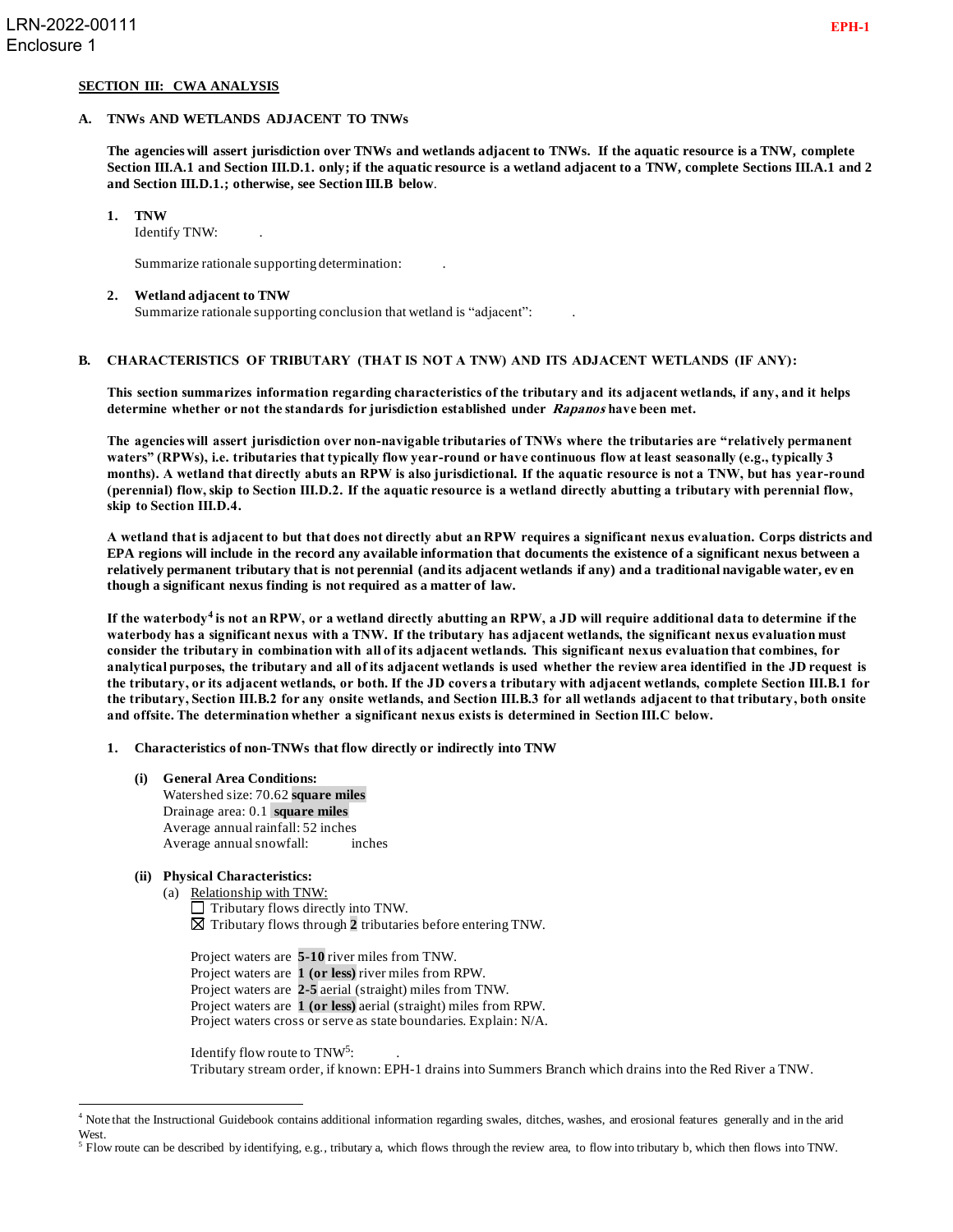## **SECTION III: CWA ANALYSIS**

#### **A. TNWs AND WETLANDS ADJACENT TO TNWs**

**The agencies will assert jurisdiction over TNWs and wetlands adjacent to TNWs. If the aquatic resource is a TNW, complete Section III.A.1 and Section III.D.1. only; if the aquatic resource is a wetland adjacent to a TNW, complete Sections III.A.1 and 2 and Section III.D.1.; otherwise, see Section III.B below**.

#### **1. TNW**

Identify TNW: .

Summarize rationale supporting determination: .

#### **2. Wetland adjacent to TNW**

Summarize rationale supporting conclusion that wetland is "adjacent": .

## **B. CHARACTERISTICS OF TRIBUTARY (THAT IS NOT A TNW) AND ITS ADJACENT WETLANDS (IF ANY):**

**This section summarizes information regarding characteristics of the tributary and its adjacent wetlands, if any, and it helps determine whether or not the standards for jurisdiction established under Rapanos have been met.**

**The agencies will assert jurisdiction over non-navigable tributaries of TNWs where the tributaries are "relatively permanent waters" (RPWs), i.e. tributaries that typically flow year-round or have continuous flow at least seasonally (e.g., typically 3 months). A wetland that directly abuts an RPW is also jurisdictional. If the aquatic resource is not a TNW, but has year-round (perennial) flow, skip to Section III.D.2. If the aquatic resource is a wetland directly abutting a tributary with perennial flow, skip to Section III.D.4.**

**A wetland that is adjacent to but that does not directly abut an RPW requires a significant nexus evaluation. Corps districts and EPA regions will include in the record any available information that documents the existence of a significant nexus between a relatively permanent tributary that is not perennial (and its adjacent wetlands if any) and a traditional navigable water, ev en though a significant nexus finding is not required as a matter of law.**

**If the waterbody<sup>4</sup> is not an RPW, or a wetland directly abutting an RPW, a JD will require additional data to determine if the waterbody has a significant nexus with a TNW. If the tributary has adjacent wetlands, the significant nexus evaluation must consider the tributary in combination with all of its adjacent wetlands. This significant nexus evaluation that combines, for analytical purposes, the tributary and all of its adjacent wetlands is used whether the review area identified in the JD request is the tributary, or its adjacent wetlands, or both. If the JD covers a tributary with adjacent wetlands, complete Section III.B.1 for the tributary, Section III.B.2 for any onsite wetlands, and Section III.B.3 for all wetlands adjacent to that tributary, both onsite and offsite. The determination whether a significant nexus exists is determined in Section III.C below.**

**1. Characteristics of non-TNWs that flow directly or indirectly into TNW**

**(i) General Area Conditions:** Watershed size: 70.62 **square miles** Drainage area: 0.1 **square miles** Average annual rainfall: 52 inches Average annual snowfall: inches

## **(ii) Physical Characteristics:**

- (a) Relationship with TNW:  $\Box$  Tributary flows directly into TNW. Tributary flows through **2** tributaries before entering TNW.
	- Project waters are **5-10** river miles from TNW. Project waters are **1 (or less)** river miles from RPW. Project waters are **2-5** aerial (straight) miles from TNW. Project waters are **1 (or less)** aerial (straight) miles from RPW. Project waters cross or serve as state boundaries. Explain: N/A.

Identify flow route to TNW<sup>5</sup>: Tributary stream order, if known: EPH-1 drains into Summers Branch which drains into the Red River a TNW.

<sup>4</sup> Note that the Instructional Guidebook contains additional information regarding swales, ditches, washes, and erosional features generally and in the arid West.

 $<sup>5</sup>$  Flow route can be described by identifying, e.g., tributary a, which flows through the review area, to flow into tributary b, which then flows into TNW.</sup>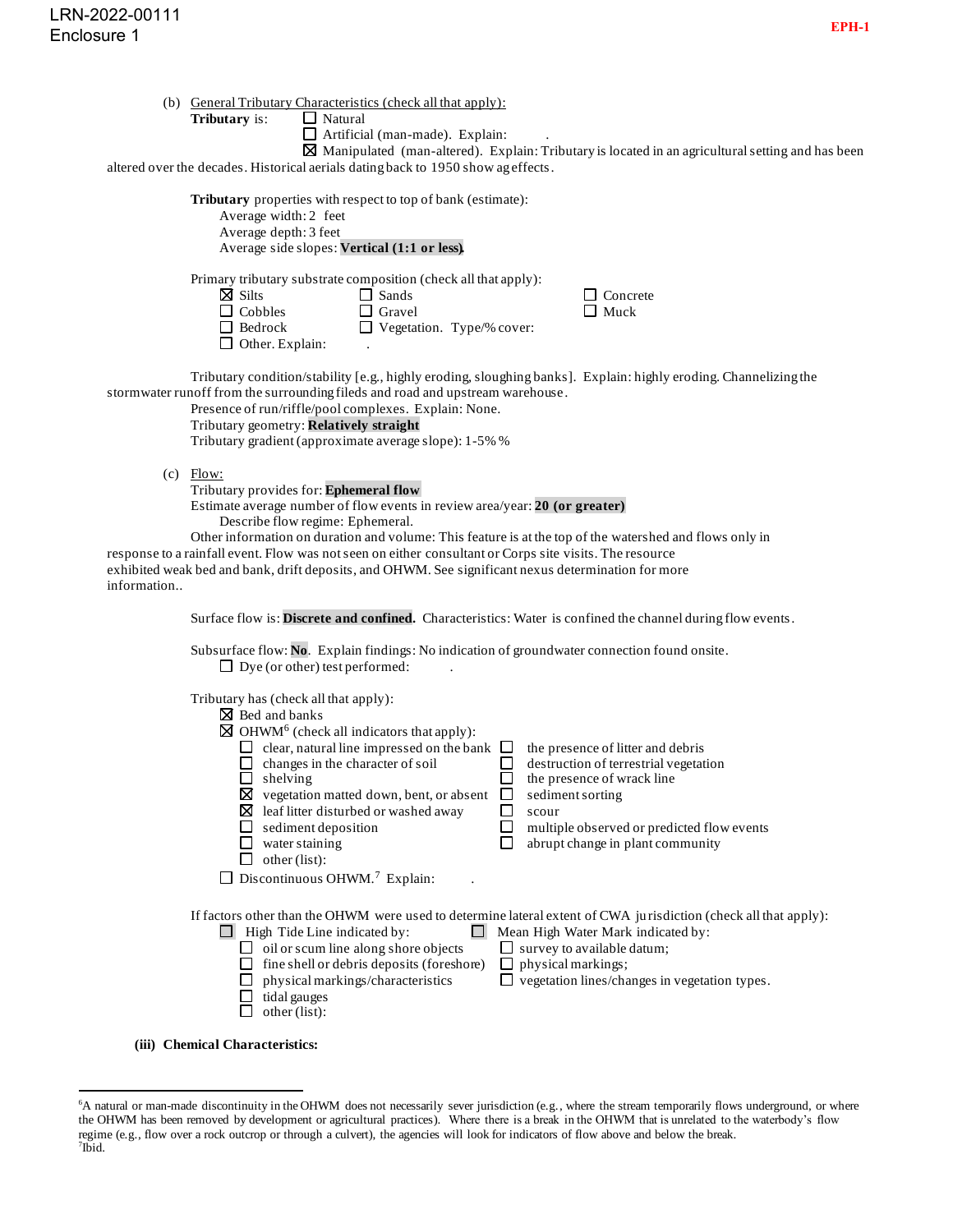|                      |                | (b) General Tributary Characteristics (check all that apply): |
|----------------------|----------------|---------------------------------------------------------------|
| <b>Tributary</b> is: | $\Box$ Natural |                                                               |

|  | Natural |
|--|---------|
|--|---------|

 $\Box$  Artificial (man-made). Explain:

 $\boxtimes$  Manipulated (man-altered). Explain: Tributary is located in an agricultural setting and has been altered over the decades. Historical aerials dating back to 1950 show ag effects.

|             | and $\alpha$ over the accures. This torreal actuals dating back to 1990 show as                                                                                                                                                                                                                                                                                                                                                                                                                       |                                 |                                                                                                                                                                                                                                                                    |  |
|-------------|-------------------------------------------------------------------------------------------------------------------------------------------------------------------------------------------------------------------------------------------------------------------------------------------------------------------------------------------------------------------------------------------------------------------------------------------------------------------------------------------------------|---------------------------------|--------------------------------------------------------------------------------------------------------------------------------------------------------------------------------------------------------------------------------------------------------------------|--|
|             | Tributary properties with respect to top of bank (estimate):<br>Average width: 2 feet<br>Average depth: 3 feet<br>Average side slopes: Vertical (1:1 or less).                                                                                                                                                                                                                                                                                                                                        |                                 |                                                                                                                                                                                                                                                                    |  |
|             | Primary tributary substrate composition (check all that apply):<br>$\boxtimes$ Silts<br>$\Box$ Sands<br>$\Box$ Cobbles<br>$\Box$ Gravel<br>$\Box$ Bedrock<br>$\Box$ Vegetation. Type/% cover:<br>$\Box$ Other. Explain:                                                                                                                                                                                                                                                                               |                                 | Concrete<br>Muck                                                                                                                                                                                                                                                   |  |
|             | Tributary condition/stability [e.g., highly eroding, sloughing banks]. Explain: highly eroding. Channelizing the<br>stormwater runoff from the surrounding fileds and road and upstream warehouse.<br>Presence of run/riffle/pool complexes. Explain: None.<br>Tributary geometry: Relatively straight<br>Tributary gradient (approximate average slope): 1-5% %                                                                                                                                      |                                 |                                                                                                                                                                                                                                                                    |  |
| information | $(c)$ Flow:<br>Tributary provides for: Ephemeral flow<br>Estimate average number of flow events in review area/year: 20 (or greater)<br>Describe flow regime: Ephemeral.<br>Other information on duration and volume: This feature is at the top of the watershed and flows only in<br>response to a rainfall event. Flow was not seen on either consultant or Corps site visits. The resource<br>exhibited weak bed and bank, drift deposits, and OHWM. See significant nexus determination for more |                                 |                                                                                                                                                                                                                                                                    |  |
|             | Surface flow is: Discrete and confined. Characteristics: Water is confined the channel during flow events.                                                                                                                                                                                                                                                                                                                                                                                            |                                 |                                                                                                                                                                                                                                                                    |  |
|             | Subsurface flow: No. Explain findings: No indication of groundwater connection found onsite.<br>$\Box$ Dye (or other) test performed:                                                                                                                                                                                                                                                                                                                                                                 |                                 |                                                                                                                                                                                                                                                                    |  |
|             | Tributary has (check all that apply):<br>$\boxtimes$ Bed and banks<br>$\boxtimes$ OHWM <sup>6</sup> (check all indicators that apply):<br>$\Box$ clear, natural line impressed on the bank $\Box$<br>$\Box$ changes in the character of soil<br>$\Box$ shelving<br>$\boxtimes$ vegetation matted down, bent, or absent<br>$\boxtimes$ leaf litter disturbed or washed away<br>sediment deposition<br>$\Box$ water staining<br>ப<br>other (list):<br>$\Box$ Discontinuous OHWM. <sup>7</sup> Explain:  | ш<br>ப<br>$\Box$<br>$\Box$<br>ப | the presence of litter and debris<br>destruction of terrestrial vegetation<br>the presence of wrack line<br>sediment sorting<br>scour<br>multiple observed or predicted flow events<br>abrupt change in plant community                                            |  |
|             | $\Box$ High Tide Line indicated by:<br>$\Box$ oil or scum line along shore objects<br>$\Box$ fine shell or debris deposits (foreshore)<br>physical markings/characteristics<br>tidal gauges<br>LΙ<br>other (list):                                                                                                                                                                                                                                                                                    | ப<br>$\Box$                     | If factors other than the OHWM were used to determine lateral extent of CWA jurisdiction (check all that apply):<br>Mean High Water Mark indicated by:<br>survey to available datum;<br>physical markings;<br>$\Box$ vegetation lines/changes in vegetation types. |  |

**(iii) Chemical Characteristics:**

<sup>&</sup>lt;sup>6</sup>A natural or man-made discontinuity in the OHWM does not necessarily sever jurisdiction (e.g., where the stream temporarily flows underground, or where the OHWM has been removed by development or agricultural practices). Where there is a break in the OHWM that is unrelated to the waterbody's flow regime (e.g., flow over a rock outcrop or through a culvert), the agencies will look for indicators of flow above and below the break. 7 Ibid.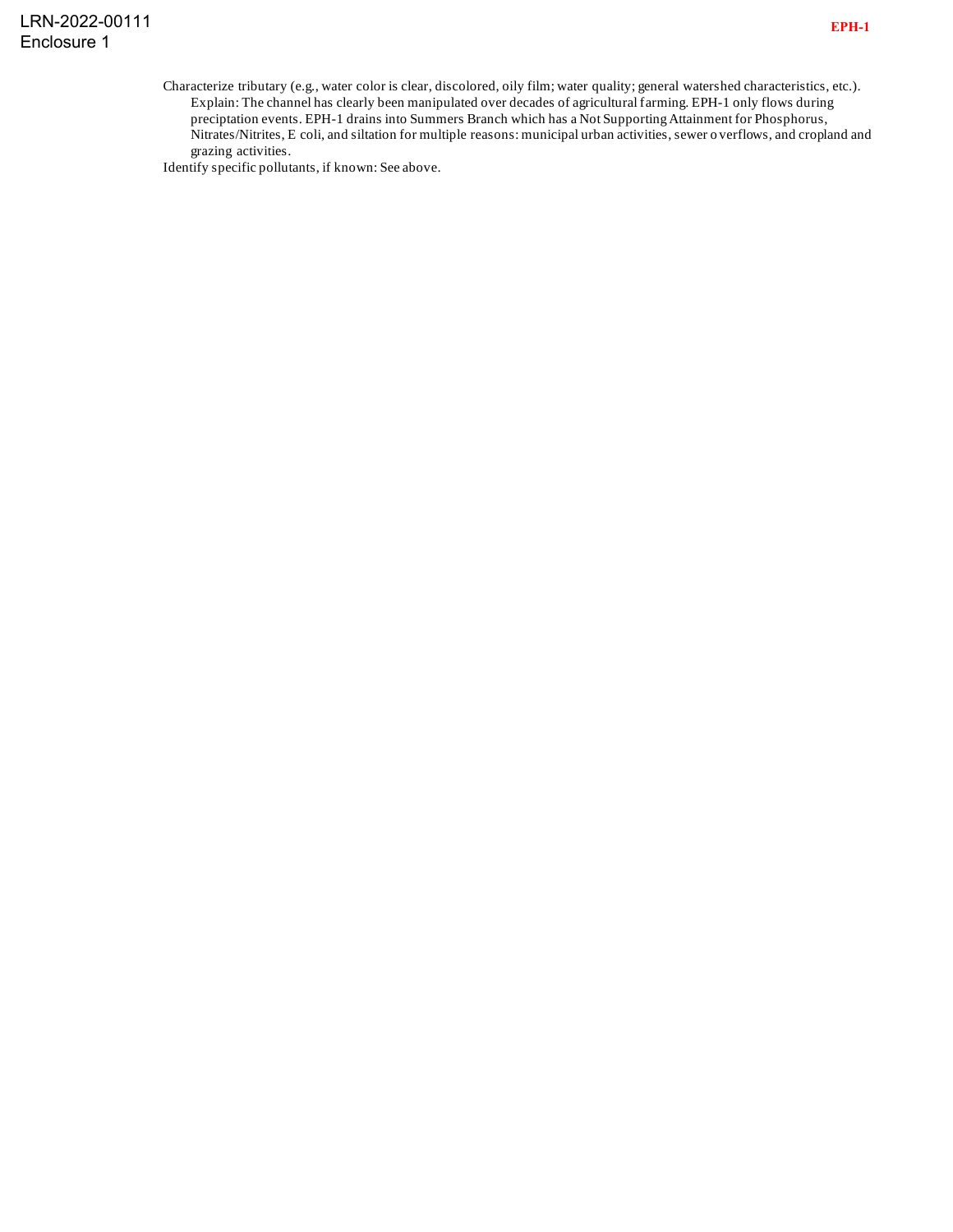Identify specific pollutants, if known: See above.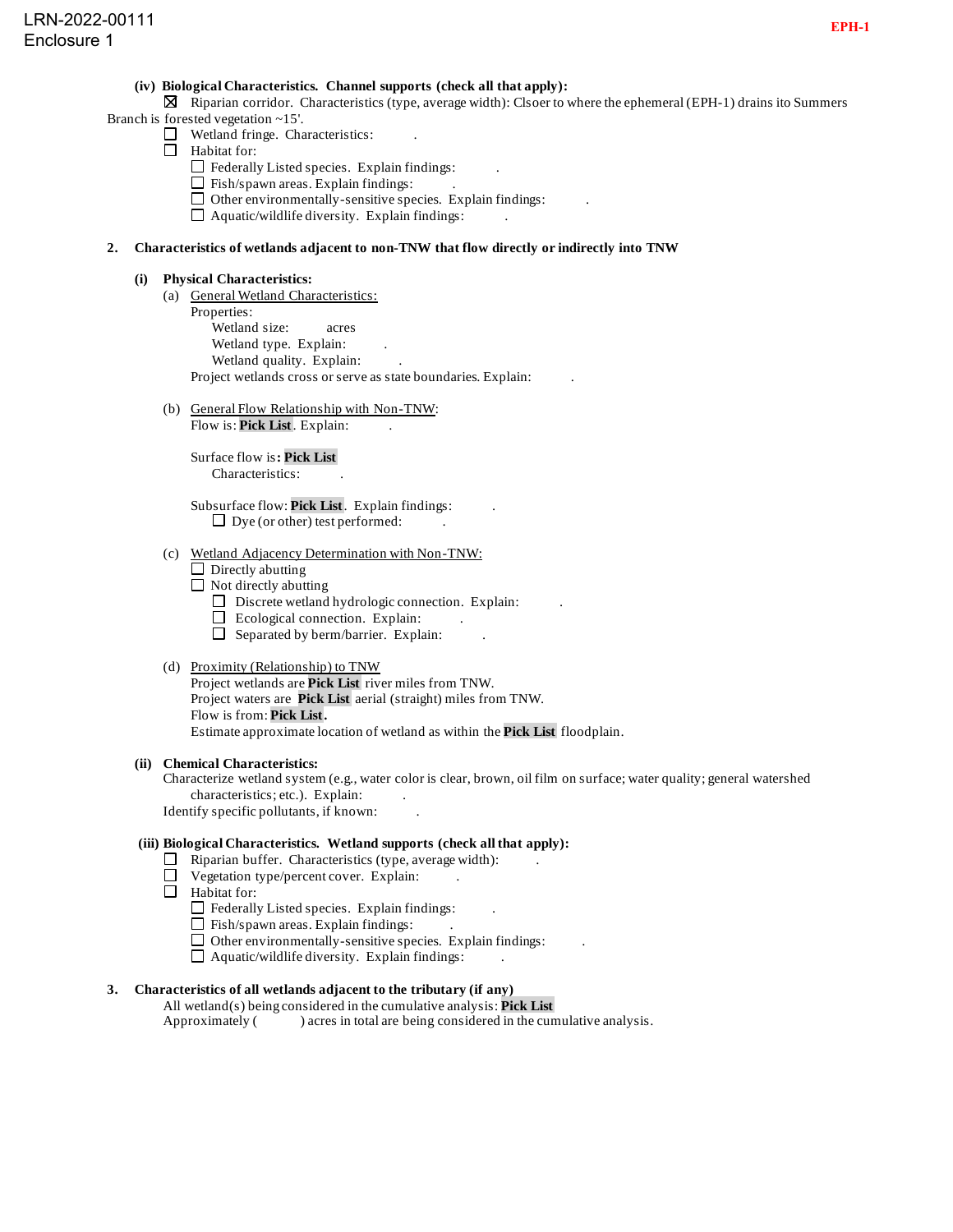## **(iv) Biological Characteristics. Channel supports (check all that apply):**

 $\boxtimes$  Riparian corridor. Characteristics (type, average width): Clsoer to where the ephemeral (EPH-1) drains ito Summers Branch is forested vegetation ~15'.

- $\Box$  Wetland fringe. Characteristics:
- $\Box$  Habitat for:
	-
	- $\Box$  Federally Listed species. Explain findings:
	- $\Box$  Fish/spawn areas. Explain findings:
	- $\Box$  Other environmentally-sensitive species. Explain findings:
	- $\Box$  Aquatic/wildlife diversity. Explain findings:

## **2. Characteristics of wetlands adjacent to non-TNW that flow directly or indirectly into TNW**

- **(i) Physical Characteristics:**
	- (a) General Wetland Characteristics: Properties: Wetland size: acres Wetland type. Explain: Wetland quality. Explain: Project wetlands cross or serve as state boundaries. Explain: .
	- (b) General Flow Relationship with Non-TNW: Flow is: **Pick List**. Explain:

Surface flow is**: Pick List**  Characteristics: .

Subsurface flow: **Pick List**. Explain findings: .  $\Box$  Dye (or other) test performed:

- (c) Wetland Adjacency Determination with Non-TNW:
	- $\Box$  Directly abutting
	- $\Box$  Not directly abutting
		- $\Box$  Discrete wetland hydrologic connection. Explain:
		- $\Box$  Ecological connection. Explain:
		- $\Box$  Separated by berm/barrier. Explain:

## (d) Proximity (Relationship) to TNW

Project wetlands are **Pick List** river miles from TNW. Project waters are **Pick List** aerial (straight) miles from TNW. Flow is from: **Pick List.** Estimate approximate location of wetland as within the **Pick List** floodplain.

#### **(ii) Chemical Characteristics:**

Characterize wetland system (e.g., water color is clear, brown, oil film on surface; water quality; general watershed characteristics; etc.). Explain:

Identify specific pollutants, if known: .

## **(iii) Biological Characteristics. Wetland supports (check all that apply):**

- $\Box$  Riparian buffer. Characteristics (type, average width):
- $\Box$  Vegetation type/percent cover. Explain:
- □ Habitat for:
	- $\Box$  Federally Listed species. Explain findings:
	- $\Box$  Fish/spawn areas. Explain findings:
	- $\Box$  Other environmentally-sensitive species. Explain findings:
	- $\Box$  Aquatic/wildlife diversity. Explain findings:

# **3. Characteristics of all wetlands adjacent to the tributary (if any)**

All wetland(s) being considered in the cumulative analysis: **Pick List** Approximately () acres in total are being considered in the cumulative analysis.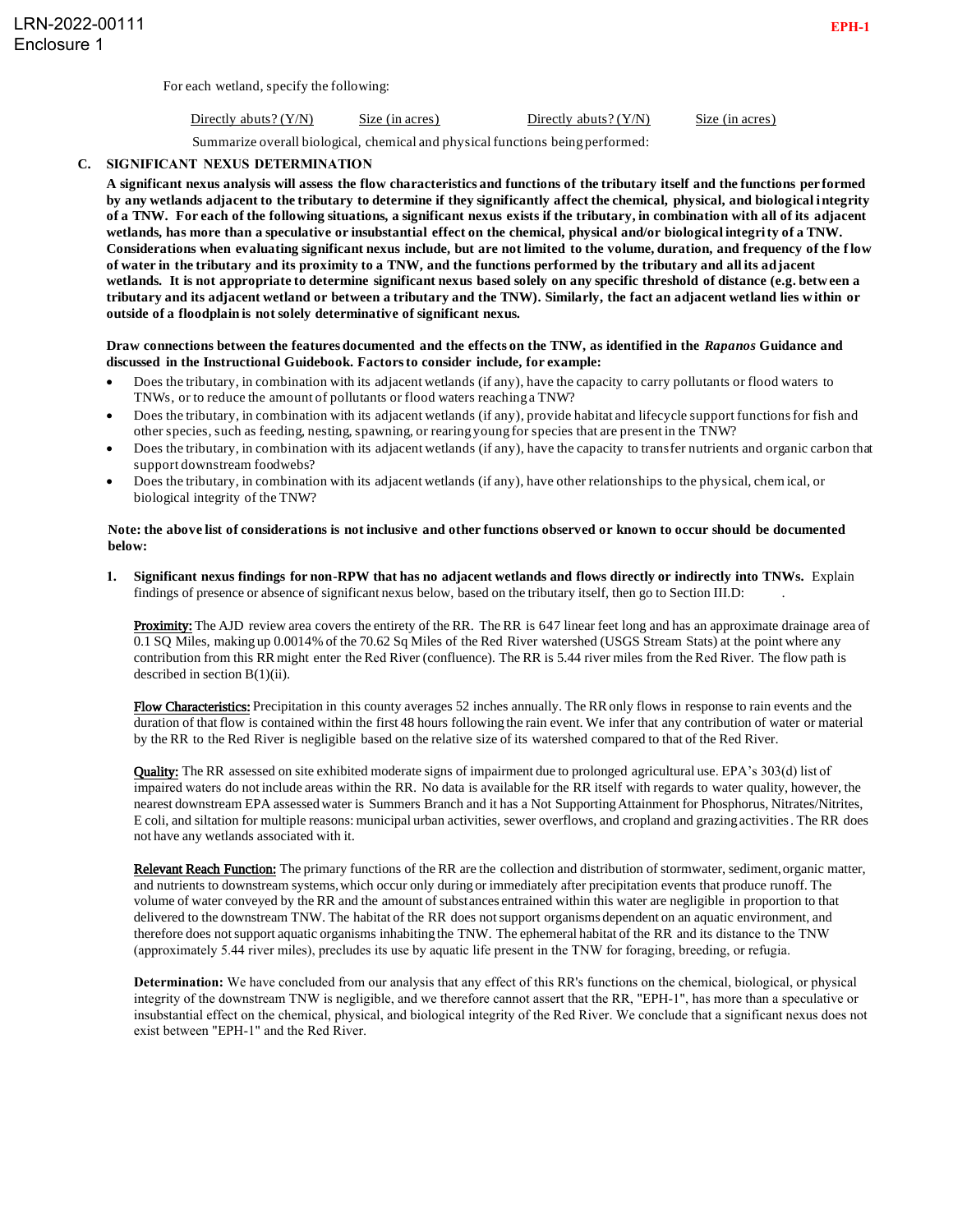For each wetland, specify the following:

| Directly abuts? $(Y/N)$ | Size (in acres) | Directly abuts? $(Y/N)$ | Size (in acres) |
|-------------------------|-----------------|-------------------------|-----------------|
|                         |                 |                         |                 |

Summarize overall biological, chemical and physical functions being performed:

## **C. SIGNIFICANT NEXUS DETERMINATION**

. **of a TNW. For each of the following situations, a significant nexus exists if the tributary, in combination with all of its adjacent A significant nexus analysis will assess the flow characteristics and functions of the tributary itself and the functions per formed by any wetlands adjacent to the tributary to determine if they significantly affect the chemical, physical, and biological i ntegrity wetlands, has more than a speculative or insubstantial effect on the chemical, physical and/or biological integrity of a TNW. Considerations when evaluating significant nexus include, but are not limited to the volume, duration, and frequency of the f low of water in the tributary and its proximity to a TNW, and the functions performed by the tributary and all its adjacent wetlands. It is not appropriate to determine significant nexus based solely on any specific threshold of distance (e.g. betw een a tributary and its adjacent wetland or between a tributary and the TNW). Similarly, the fact an adjacent wetland lies w ithin or outside of a floodplain is not solely determinative of significant nexus.**

## **Draw connections between the features documented and the effects on the TNW, as identified in the** *Rapanos* **Guidance and discussed in the Instructional Guidebook. Factors to consider include, for example:**

- Does the tributary, in combination with its adjacent wetlands (if any), have the capacity to carry pollutants or flood waters to TNWs, or to reduce the amount of pollutants or flood waters reaching a TNW?
- Does the tributary, in combination with its adjacent wetlands (if any), provide habitat and lifecycle support functions for fish and other species, such as feeding, nesting, spawning, or rearing young for species that are present in the TNW?
- Does the tributary, in combination with its adjacent wetlands (if any), have the capacity to transfer nutrients and organic carbon that support downstream foodwebs?
- Does the tributary, in combination with its adjacent wetlands (if any), have other relationships to the physical, chem ical, or biological integrity of the TNW?

## **Note: the above list of considerations is not inclusive and other functions observed or known to occur should be documented below:**

**1. Significant nexus findings for non-RPW that has no adjacent wetlands and flows directly or indirectly into TNWs.** Explain findings of presence or absence of significant nexus below, based on the tributary itself, then go to Section III.D: .

Proximity: The AJD review area covers the entirety of the RR. The RR is 647 linear feet long and has an approximate drainage area of 0.1 SQ Miles, making up 0.0014% of the 70.62 Sq Miles of the Red River watershed (USGS Stream Stats) at the point where any contribution from this RR might enter the Red River (confluence). The RR is 5.44 river miles from the Red River. The flow path is described in section  $B(1)(ii)$ .

Flow Characteristics: Precipitation in this county averages 52 inches annually. The RR only flows in response to rain events and the duration of that flow is contained within the first 48 hours following the rain event. We infer that any contribution of water or material by the RR to the Red River is negligible based on the relative size of its watershed compared to that of the Red River.

Quality: The RR assessed on site exhibited moderate signs of impairment due to prolonged agricultural use. EPA's 303(d) list of impaired waters do not include areas within the RR. No data is available for the RR itself with regards to water quality, however, the nearest downstream EPA assessed water is Summers Branch and it has a Not Supporting Attainment for Phosphorus, Nitrates/Nitrites, E coli, and siltation for multiple reasons: municipal urban activities, sewer overflows, and cropland and grazing activities. The RR does not have any wetlands associated with it.

Relevant Reach Function: The primary functions of the RR are the collection and distribution of stormwater, sediment, organic matter, and nutrients to downstream systems, which occur only during or immediately after precipitation events that produce runoff. The volume of water conveyed by the RR and the amount of substances entrained within this water are negligible in proportion to that delivered to the downstream TNW. The habitat of the RR does not support organisms dependent on an aquatic environment, and therefore does not support aquatic organisms inhabiting the TNW. The ephemeral habitat of the RR and its distance to the TNW (approximately 5.44 river miles), precludes its use by aquatic life present in the TNW for foraging, breeding, or refugia.

**Determination:** We have concluded from our analysis that any effect of this RR's functions on the chemical, biological, or physical integrity of the downstream TNW is negligible, and we therefore cannot assert that the RR, "EPH-1", has more than a speculative or insubstantial effect on the chemical, physical, and biological integrity of the Red River. We conclude that a significant nexus does not exist between "EPH-1" and the Red River.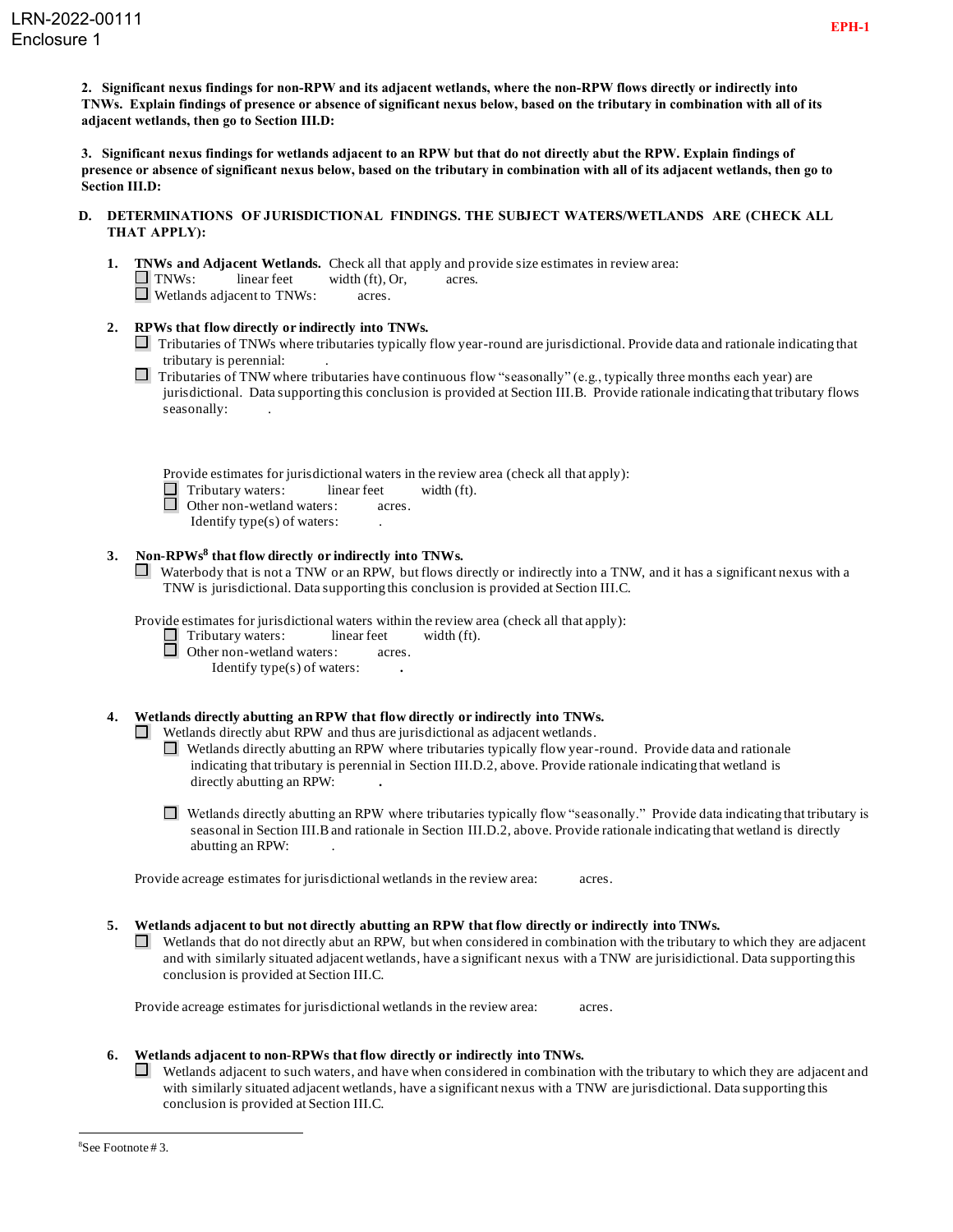**2. Significant nexus findings for non-RPW and its adjacent wetlands, where the non-RPW flows directly or indirectly into TNWs. Explain findings of presence or absence of significant nexus below, based on the tributary in combination with all of its adjacent wetlands, then go to Section III.D:**

**3. Significant nexus findings for wetlands adjacent to an RPW but that do not directly abut the RPW. Explain findings of presence or absence of significant nexus below, based on the tributary in combination with all of its adjacent wetlands, then go to Section III.D:**

- **D. DETERMINATIONS OF JURISDICTIONAL FINDINGS. THE SUBJECT WATERS/WETLANDS ARE (CHECK ALL THAT APPLY):**
	- **1. TNWs and Adjacent Wetlands.** Check all that apply and provide size estimates in review area:  $\Box$  TNWs: linear feet width (ft), Or, acres. Wetlands adjacent to TNWs: acres.
	- **2. RPWs that flow directly or indirectly into TNWs.**
		- $\Box$  Tributaries of TNWs where tributaries typically flow year-round are jurisdictional. Provide data and rationale indicating that tributary is perennial: .
		- Tributaries of TNW where tributaries have continuous flow "seasonally" (e.g., typically three months each year) are jurisdictional. Data supporting this conclusion is provided at Section III.B. Provide rationale indicating that tributary flows seasonally:

Provide estimates for jurisdictional waters in the review area (check all that apply):

| Tributary waters: | linear feet | width (ft). |
|-------------------|-------------|-------------|
|-------------------|-------------|-------------|

- Other non-wetland waters: acres.
	- Identify type(s) of waters: .

# **3. Non-RPWs<sup>8</sup> that flow directly or indirectly into TNWs.**

 $\Box$  Waterbody that is not a TNW or an RPW, but flows directly or indirectly into a TNW, and it has a significant nexus with a TNW is jurisdictional. Data supporting this conclusion is provided at Section III.C.

Provide estimates for jurisdictional waters within the review area (check all that apply):

Tributary waters: linear feet width (ft).

**Other non-wetland waters:** acres.

Identify type(s) of waters: **.**

# **4. Wetlands directly abutting an RPW that flow directly or indirectly into TNWs.**

- $\Box$  Wetlands directly abut RPW and thus are jurisdictional as adjacent wetlands.
	- Wetlands directly abutting an RPW where tributaries typically flow year-round. Provide data and rationale indicating that tributary is perennial in Section III.D.2, above. Provide rationale indicating that wetland is directly abutting an RPW: **.**
	- $\Box$  Wetlands directly abutting an RPW where tributaries typically flow "seasonally." Provide data indicating that tributary is seasonal in Section III.B and rationale in Section III.D.2, above. Provide rationale indicating that wetland is directly abutting an RPW: .

Provide acreage estimates for jurisdictional wetlands in the review area: acres.

- **5. Wetlands adjacent to but not directly abutting an RPW that flow directly or indirectly into TNWs.**
	- $\Box$  Wetlands that do not directly abut an RPW, but when considered in combination with the tributary to which they are adjacent and with similarly situated adjacent wetlands, have a significant nexus with a TNW are jurisidictional. Data supporting this conclusion is provided at Section III.C.

Provide acreage estimates for jurisdictional wetlands in the review area: acres.

# **6. Wetlands adjacent to non-RPWs that flow directly or indirectly into TNWs.**

 $\Box$ Wetlands adjacent to such waters, and have when considered in combination with the tributary to which they are adjacent and with similarly situated adjacent wetlands, have a significant nexus with a TNW are jurisdictional. Data supporting this conclusion is provided at Section III.C.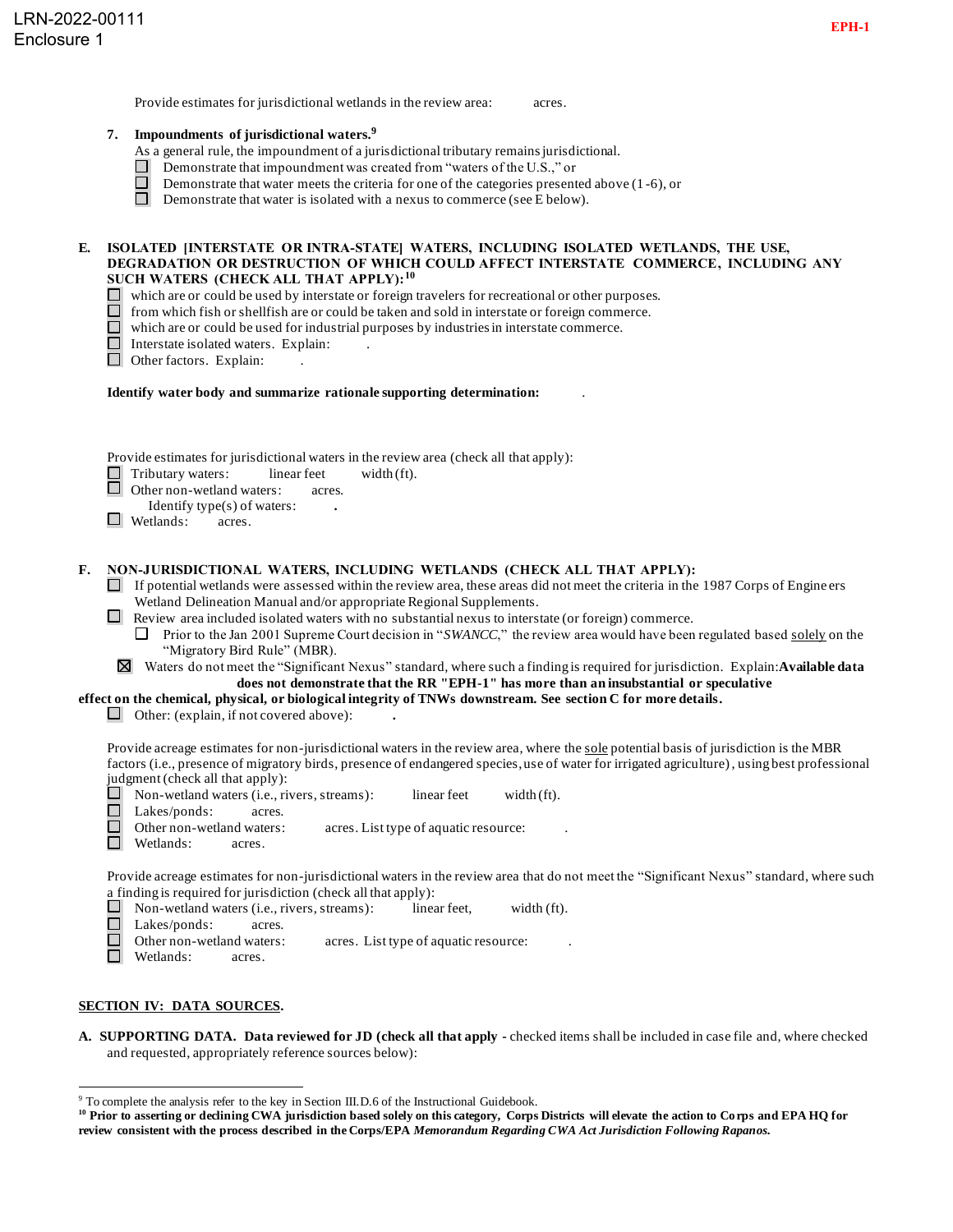Provide estimates for jurisdictional wetlands in the review area: acres.

## **7. Impoundments of jurisdictional waters. 9**

- As a general rule, the impoundment of a jurisdictional tributary remains jurisdictional.
- Demonstrate that impoundment was created from "waters of the U.S.," or
- Demonstrate that water meets the criteria for one of the categories presented above (1 -6), or
- Demonstrate that water is isolated with a nexus to commerce (see E below).

#### **E. ISOLATED [INTERSTATE OR INTRA-STATE] WATERS, INCLUDING ISOLATED WETLANDS, THE USE, DEGRADATION OR DESTRUCTION OF WHICH COULD AFFECT INTERSTATE COMMERCE, INCLUDING ANY SUCH WATERS (CHECK ALL THAT APPLY):<sup>10</sup>**

- which are or could be used by interstate or foreign travelers for recreational or other purposes.
- from which fish or shellfish are or could be taken and sold in interstate or foreign commerce.
- $\Box$ which are or could be used for industrial purposes by industries in interstate commerce.
- □ Interstate isolated waters. Explain:
- Other factors. Explain:

#### **Identify water body and summarize rationale supporting determination:** .

Provide estimates for jurisdictional waters in the review area (check all that apply):

 $\Box$  Tributary waters: linear feet width (ft).<br> $\Box$  Other non-wetland waters: acres.

Other non-wetland waters: acres.

- Identify type(s) of waters: **.**
- Wetlands: acres.

#### **F. NON-JURISDICTIONAL WATERS, INCLUDING WETLANDS (CHECK ALL THAT APPLY):**

- If potential wetlands were assessed within the review area, these areas did not meet the criteria in the 1987 Corps of Engine ers Wetland Delineation Manual and/or appropriate Regional Supplements.
- Review area included isolated waters with no substantial nexus to interstate (or foreign) commerce.
	- **Prior to the Jan 2001 Supreme Court decision in "***SWANCC*," the review area would have been regulated based solely on the "Migratory Bird Rule" (MBR).
- Waters do not meet the "Significant Nexus" standard, where such a finding is required for jurisdiction. Explain:**Available data does not demonstrate that the RR "EPH-1" has more than an insubstantial or speculative**

**effect on the chemical, physical, or biological integrity of TNWs downstream. See section C for more details.**

Other: (explain, if not covered above): **.**

Provide acreage estimates for non-jurisdictional waters in the review area, where the sole potential basis of jurisdiction is the MBR factors (i.e., presence of migratory birds, presence of endangered species, use of water for irrigated agriculture), using best professional judgment (check all that apply):<br> $\Box$  Non-wetland waters (i.e. ri

- Non-wetland waters (i.e., rivers, streams): linear feet width (ft).
- П. Lakes/ponds: acres.
- П Other non-wetland waters: acres. List type of aquatic resource:
- □ Wetlands: acres.

Provide acreage estimates for non-jurisdictional waters in the review area that do not meet the "Significant Nexus" standard, where such a finding is required for jurisdiction (check all that apply):

- $\Box$  Non-wetland waters (i.e., rivers, streams): linear feet, width (ft).
- Lakes/ponds: acres.
- $\Box$ Other non-wetland waters: acres. List type of aquatic resource:
- $\Box$ Wetlands: acres.

## **SECTION IV: DATA SOURCES.**

**A. SUPPORTING DATA. Data reviewed for JD (check all that apply -** checked items shall be included in case file and, where checked and requested, appropriately reference sources below):

<sup>&</sup>lt;sup>9</sup> To complete the analysis refer to the key in Section III.D.6 of the Instructional Guidebook.

**<sup>10</sup> Prior to asserting or declining CWA jurisdiction based solely on this category, Corps Districts will elevate the action to Corps and EPA HQ for review consistent with the process described in the Corps/EPA** *Memorandum Regarding CWA Act Jurisdiction Following Rapanos.*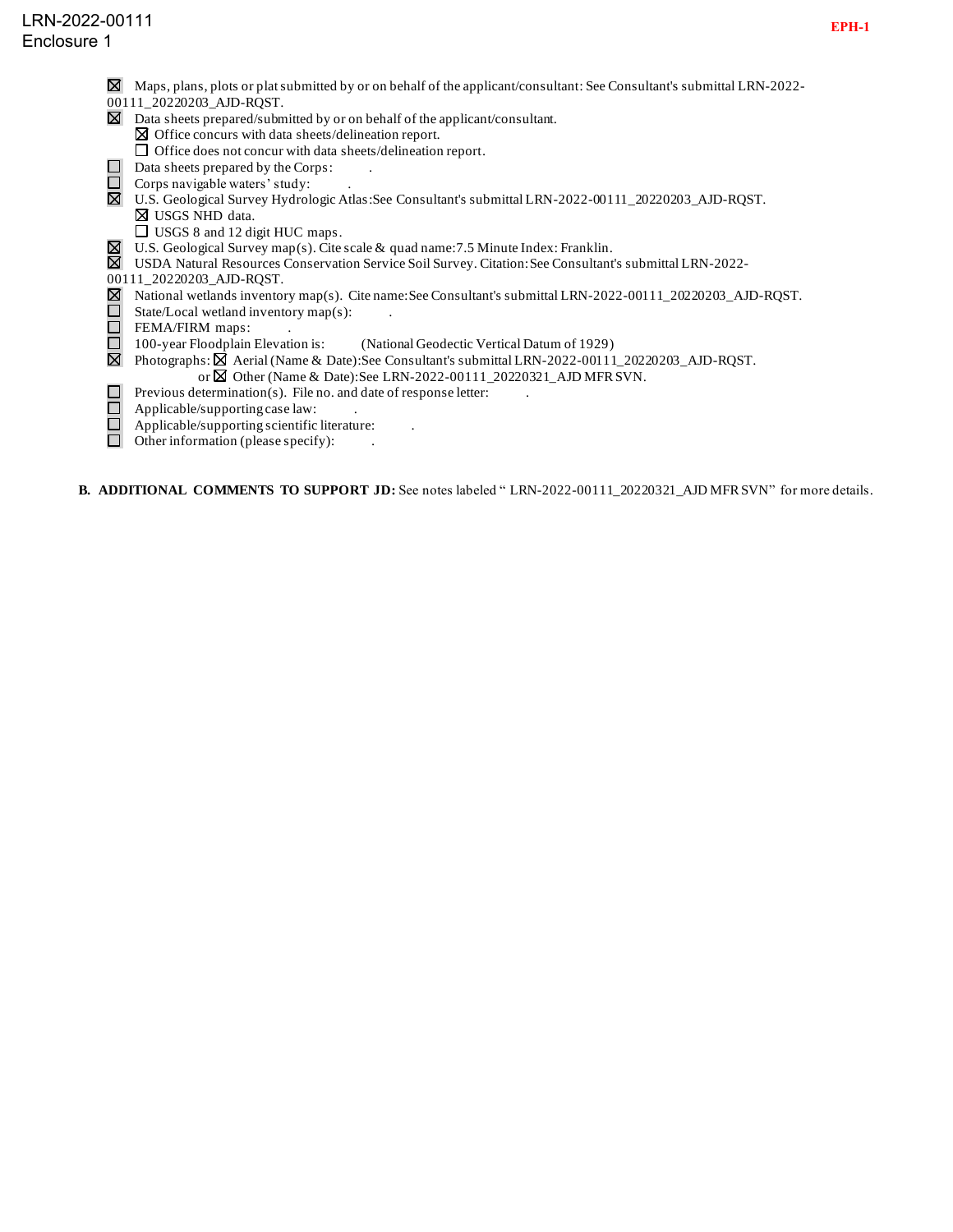- $\boxtimes$  Maps, plans, plots or plat submitted by or on behalf of the applicant/consultant: See Consultant's submittal LRN-2022-
- 00111\_20220203\_AJD-RQST.
- $\boxtimes$  Data sheets prepared/submitted by or on behalf of the applicant/consultant.
- $\boxtimes$  Office concurs with data sheets/delineation report.  $\Box$  Office does not concur with data sheets/delineation report.
- $\Box$  Data sheets prepared by the Corps:
- $\Box$  Corps navigable waters' study:
- U.S. Geological Survey Hydrologic Atlas:See Consultant's submittal LRN-2022-00111\_20220203\_AJD-RQST.
	- USGS NHD data.
	- □ USGS 8 and 12 digit HUC maps.
	- U.S. Geological Survey map(s). Cite scale & quad name:7.5 Minute Index: Franklin.
- USDA Natural Resources Conservation Service Soil Survey. Citation:See Consultant's submittal LRN-2022-
- 00111\_20220203\_AJD-RQST.
- National wetlands inventory map(s). Cite name:See Consultant's submittal LRN-2022-00111\_20220203\_AJD-RQST.
- $\bar{\Xi}$ State/Local wetland inventory map(s):
- FEMA/FIRM maps:
- $\overline{\Box}$ 100-year Floodplain Elevation is: (National Geodectic Vertical Datum of 1929)
- $\boxtimes$  Photographs:  $\boxtimes$  Aerial (Name & Date): See Consultant's submittal LRN-2022-00111\_20220203\_AJD-RQST. or  $\boxtimes$  Other (Name & Date): See LRN-2022-00111\_20220321\_AJD MFR SVN.
- $\Box$ Previous determination(s). File no. and date of response letter:
- $\Box$ Applicable/supporting case law: .
- $\Box$ Applicable/supporting scientific literature: .
- $\Box$ Other information (please specify): .

**B. ADDITIONAL COMMENTS TO SUPPORT JD:** See notes labeled " LRN-2022-00111\_20220321\_AJD MFR SVN" for more details.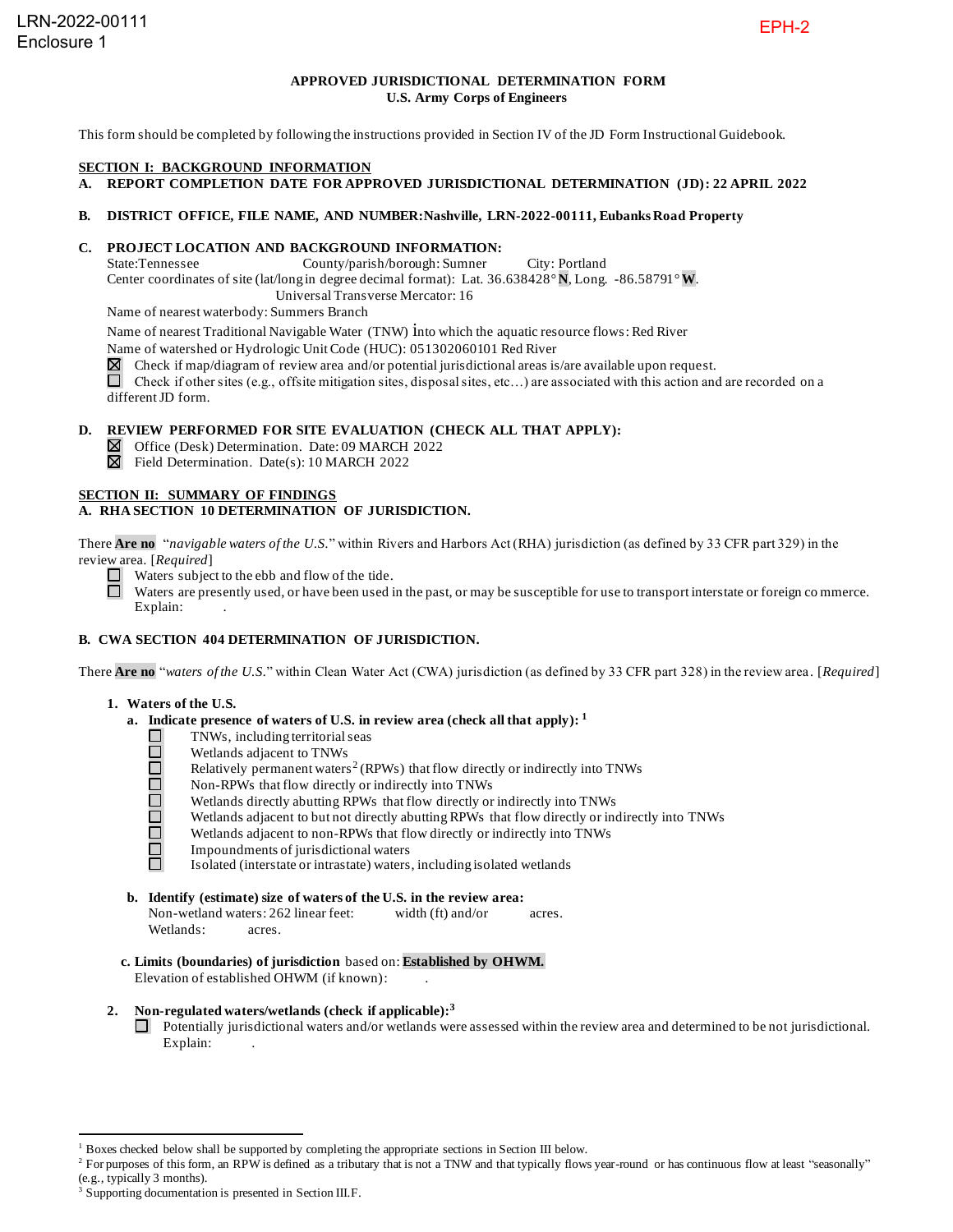## **APPROVED JURISDICTIONAL DETERMINATION FORM U.S. Army Corps of Engineers**

This form should be completed by following the instructions provided in Section IV of the JD Form Instructional Guidebook.

#### **SECTION I: BACKGROUND INFORMATION**

**A. REPORT COMPLETION DATE FOR APPROVED JURISDICTIONAL DETERMINATION (JD): 22 APRIL 2022**

#### **B. DISTRICT OFFICE, FILE NAME, AND NUMBER:Nashville, LRN-2022-00111, Eubanks Road Property**

# **C. PROJECT LOCATION AND BACKGROUND INFORMATION:**<br>State:Tennessee County/parish/borough: Sumner

County/parish/borough: Sumner City: Portland Center coordinates of site (lat/long in degree decimal format): Lat. 36.638428° **N**, Long. -86.58791° **W**. Universal Transverse Mercator: 16

Name of nearest waterbody: Summers Branch

Name of nearest Traditional Navigable Water (TNW) into which the aquatic resource flows: Red River

Name of watershed or Hydrologic Unit Code (HUC): 051302060101 Red River

 $\boxtimes$  Check if map/diagram of review area and/or potential jurisdictional areas is/are available upon request.

Check if other sites (e.g., offsite mitigation sites, disposal sites, etc...) are associated with this action and are recorded on a different JD form.

# **D. REVIEW PERFORMED FOR SITE EVALUATION (CHECK ALL THAT APPLY):**

Office (Desk) Determination. Date: 09 MARCH 2022

 $\boxtimes$  Field Determination. Date(s): 10 MARCH 2022

## **SECTION II: SUMMARY OF FINDINGS**

## **A. RHA SECTION 10 DETERMINATION OF JURISDICTION.**

There **Are no** "*navigable waters of the U.S.*" within Rivers and Harbors Act (RHA) jurisdiction (as defined by 33 CFR part 329) in the review area. [*Required*]

- $\Box$  Waters subject to the ebb and flow of the tide.
- Waters are presently used, or have been used in the past, or may be susceptible for use to transport interstate or foreign co mmerce.  $\Box$ Explain:

## **B. CWA SECTION 404 DETERMINATION OF JURISDICTION.**

There **Are no** "*waters of the U.S.*" within Clean Water Act (CWA) jurisdiction (as defined by 33 CFR part 328) in the review area . [*Required*]

#### **1. Waters of the U.S.**

- **a. Indicate presence of waters of U.S. in review area (check all that apply): 1**
	- TNWs, including territorial seas
	- Wetlands adjacent to TNWs
	- 00000 Relatively permanent waters<sup>2</sup> (RPWs) that flow directly or indirectly into TNWs
		- Non-RPWs that flow directly or indirectly into TNWs
		- Wetlands directly abutting RPWs that flow directly or indirectly into TNWs
		- Wetlands adjacent to but not directly abutting RPWs that flow directly or indirectly into TNWs
	- ō Wetlands adjacent to non-RPWs that flow directly or indirectly into TNWs
	- $\Box$ Impoundments of jurisdictional waters ñ.

Isolated (interstate or intrastate) waters, including isolated wetlands

# **b. Identify (estimate) size of waters of the U.S. in the review area:**

Non-wetland waters: 262 linear feet: width (ft) and/or acres. Wetlands: acres.

**c. Limits (boundaries) of jurisdiction** based on: **Established by OHWM.** Elevation of established OHWM (if known): .

## **2. Non-regulated waters/wetlands (check if applicable): 3**

Potentially jurisdictional waters and/or wetlands were assessed within the review area and determined to be not jurisdictional. Explain:

<sup>1</sup> Boxes checked below shall be supported by completing the appropriate sections in Section III below.

<sup>&</sup>lt;sup>2</sup> For purposes of this form, an RPW is defined as a tributary that is not a TNW and that typically flows year-round or has continuous flow at least "seasonally" (e.g., typically 3 months).

<sup>&</sup>lt;sup>3</sup> Supporting documentation is presented in Section III.F.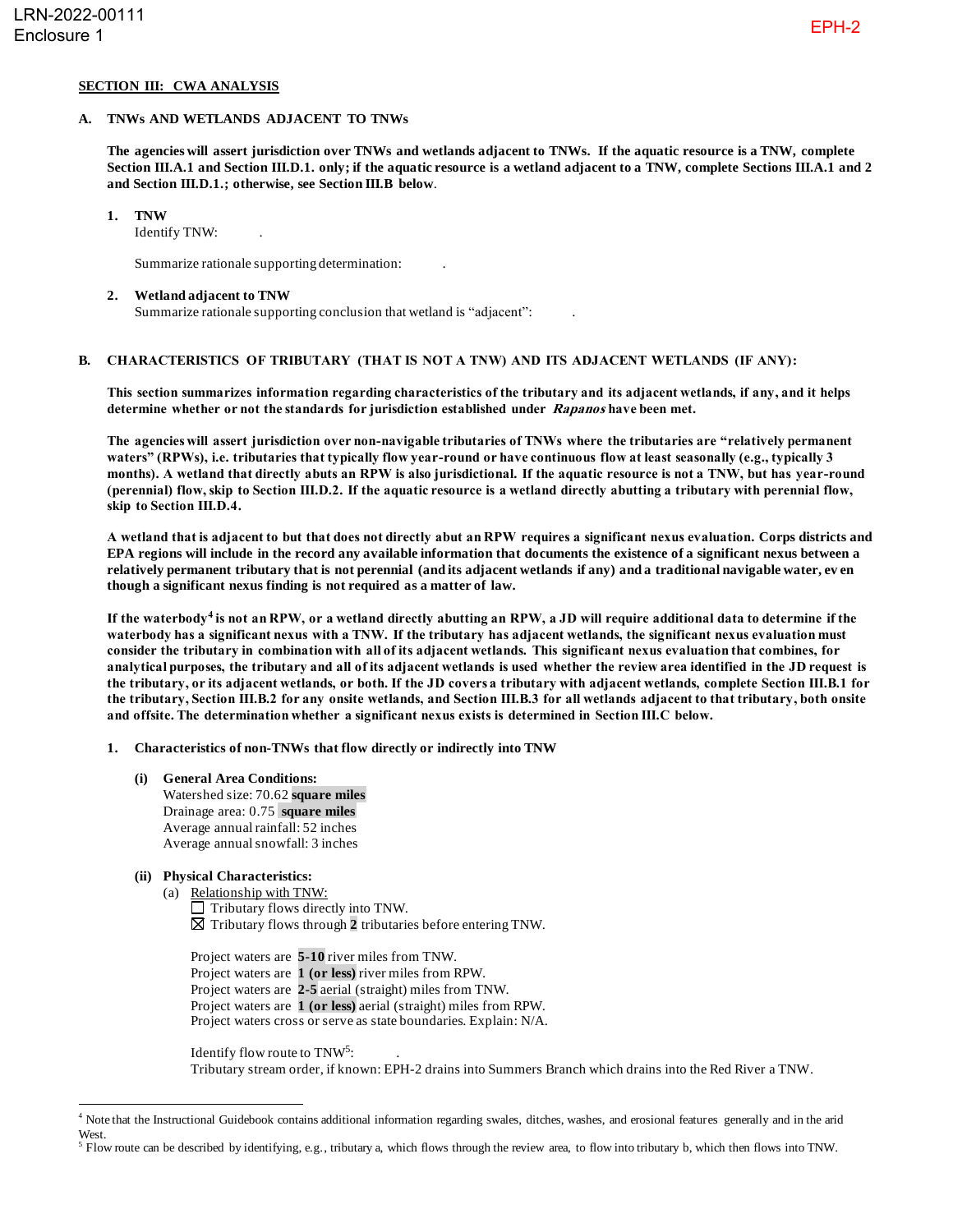## **SECTION III: CWA ANALYSIS**

#### **A. TNWs AND WETLANDS ADJACENT TO TNWs**

**The agencies will assert jurisdiction over TNWs and wetlands adjacent to TNWs. If the aquatic resource is a TNW, complete Section III.A.1 and Section III.D.1. only; if the aquatic resource is a wetland adjacent to a TNW, complete Sections III.A.1 and 2 and Section III.D.1.; otherwise, see Section III.B below**.

#### **1. TNW**

Identify TNW: .

Summarize rationale supporting determination: .

#### **2. Wetland adjacent to TNW**

Summarize rationale supporting conclusion that wetland is "adjacent": .

## **B. CHARACTERISTICS OF TRIBUTARY (THAT IS NOT A TNW) AND ITS ADJACENT WETLANDS (IF ANY):**

**This section summarizes information regarding characteristics of the tributary and its adjacent wetlands, if any, and it helps determine whether or not the standards for jurisdiction established under Rapanos have been met.**

**The agencies will assert jurisdiction over non-navigable tributaries of TNWs where the tributaries are "relatively permanent waters" (RPWs), i.e. tributaries that typically flow year-round or have continuous flow at least seasonally (e.g., typically 3 months). A wetland that directly abuts an RPW is also jurisdictional. If the aquatic resource is not a TNW, but has year-round (perennial) flow, skip to Section III.D.2. If the aquatic resource is a wetland directly abutting a tributary with perennial flow, skip to Section III.D.4.**

**A wetland that is adjacent to but that does not directly abut an RPW requires a significant nexus evaluation. Corps districts and EPA regions will include in the record any available information that documents the existence of a significant nexus between a relatively permanent tributary that is not perennial (and its adjacent wetlands if any) and a traditional navigable water, ev en though a significant nexus finding is not required as a matter of law.**

**If the waterbody<sup>4</sup> is not an RPW, or a wetland directly abutting an RPW, a JD will require additional data to determine if the waterbody has a significant nexus with a TNW. If the tributary has adjacent wetlands, the significant nexus evaluation must consider the tributary in combination with all of its adjacent wetlands. This significant nexus evaluation that combines, for analytical purposes, the tributary and all of its adjacent wetlands is used whether the review area identified in the JD request is the tributary, or its adjacent wetlands, or both. If the JD covers a tributary with adjacent wetlands, complete Section III.B.1 for the tributary, Section III.B.2 for any onsite wetlands, and Section III.B.3 for all wetlands adjacent to that tributary, both onsite and offsite. The determination whether a significant nexus exists is determined in Section III.C below.**

**1. Characteristics of non-TNWs that flow directly or indirectly into TNW**

**(i) General Area Conditions:** Watershed size: 70.62 **square miles** Drainage area: 0.75 **square miles** Average annual rainfall: 52 inches Average annual snowfall: 3 inches

# **(ii) Physical Characteristics:**

- (a) Relationship with TNW:  $\Box$  Tributary flows directly into TNW. Tributary flows through **2** tributaries before entering TNW.
	- Project waters are **5-10** river miles from TNW. Project waters are **1 (or less)** river miles from RPW. Project waters are **2-5** aerial (straight) miles from TNW. Project waters are **1 (or less)** aerial (straight) miles from RPW. Project waters cross or serve as state boundaries. Explain: N/A.

Identify flow route to TNW<sup>5</sup>: Tributary stream order, if known: EPH-2 drains into Summers Branch which drains into the Red River a TNW.

<sup>4</sup> Note that the Instructional Guidebook contains additional information regarding swales, ditches, washes, and erosional features generally and in the arid West.

 $<sup>5</sup>$  Flow route can be described by identifying, e.g., tributary a, which flows through the review area, to flow into tributary b, which then flows into TNW.</sup>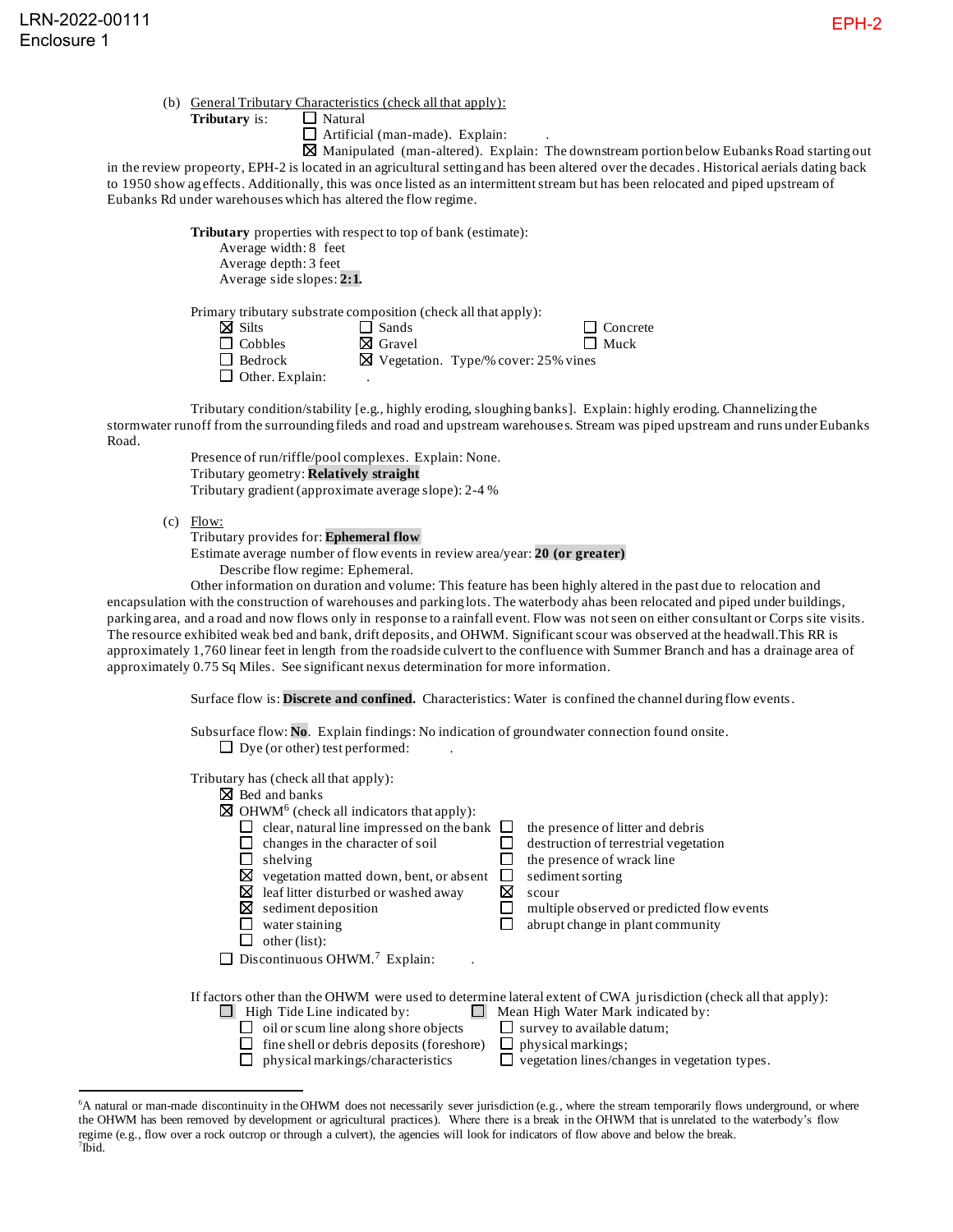**Tributary** is: □ Natural

 $\Box$  Artificial (man-made). Explain:

 $\boxtimes$  Manipulated (man-altered). Explain: The downstream portion below Eubanks Road starting out in the review propeorty, EPH-2 is located in an agricultural setting and has been altered over the decades. Historical aerials dating back to 1950 show ag effects. Additionally, this was once listed as an intermittent stream but has been relocated and piped upstream of Eubanks Rd under warehouses which has altered the flow regime.

> **Tributary** properties with respect to top of bank (estimate): Average width: 8 feet Average depth: 3 feet Average side slopes: **2:1.**

Primary tributary substrate composition (check all that apply):

| $\boxtimes$ Silts      | $\Box$ Sands    | $\Box$ Concrete                                 |
|------------------------|-----------------|-------------------------------------------------|
| $\Box$ Cobbles         | <b>X</b> Gravel | $\Box$ Muck                                     |
| $\Box$ Bedrock         |                 | $\boxtimes$ Vegetation. Type/% cover: 25% vines |
| $\Box$ Other. Explain: |                 |                                                 |

Tributary condition/stability [e.g., highly eroding, sloughing banks]. Explain: highly eroding. Channelizing the stormwater runoff from the surrounding fileds and road and upstream warehouses. Stream was piped upstream and runs under Eubanks Road.

> Presence of run/riffle/pool complexes. Explain: None. Tributary geometry: **Relatively straight**

Tributary gradient (approximate average slope): 2-4 %

 $(c)$  Flow:

Tributary provides for: **Ephemeral flow**

Estimate average number of flow events in review area/year: **20 (or greater)**

Describe flow regime: Ephemeral.

Other information on duration and volume: This feature has been highly altered in the past due to relocation and encapsulation with the construction of warehouses and parking lots. The waterbody ahas been relocated and piped under buildings, parking area, and a road and now flows only in response to a rainfall event. Flow was not seen on either consultant or Corps site visits. The resource exhibited weak bed and bank, drift deposits, and OHWM. Significant scour was observed at the headwall.This RR is approximately 1,760 linear feet in length from the roadside culvert to the confluence with Summer Branch and has a drainage area of approximately 0.75 Sq Miles. See significant nexus determination for more information.

Surface flow is: **Discrete and confined.** Characteristics: Water is confined the channel during flow events.

Subsurface flow: **No**. Explain findings: No indication of groundwater connection found onsite.  $\Box$  Dye (or other) test performed:

Tributary has (check all that apply):

| <b>X</b> Bed and banks                                                                                                                                 |   |                                                                                                                                                                                                                                                             |
|--------------------------------------------------------------------------------------------------------------------------------------------------------|---|-------------------------------------------------------------------------------------------------------------------------------------------------------------------------------------------------------------------------------------------------------------|
| $\boxtimes$ OHWM <sup>6</sup> (check all indicators that apply):                                                                                       |   |                                                                                                                                                                                                                                                             |
| clear, natural line impressed on the bank $\Box$                                                                                                       |   | the presence of litter and debris                                                                                                                                                                                                                           |
| changes in the character of soil                                                                                                                       |   | destruction of terrestrial vegetation                                                                                                                                                                                                                       |
| shelving                                                                                                                                               |   | the presence of wrack line                                                                                                                                                                                                                                  |
| ⊠<br>vegetation matted down, bent, or absent                                                                                                           |   | sediment sorting                                                                                                                                                                                                                                            |
| ⊠<br>leaf litter disturbed or washed away                                                                                                              | ⊠ | scour                                                                                                                                                                                                                                                       |
| ⊠<br>sediment deposition                                                                                                                               |   | multiple observed or predicted flow events                                                                                                                                                                                                                  |
| water staining                                                                                                                                         |   | abrupt change in plant community                                                                                                                                                                                                                            |
| other (list):                                                                                                                                          |   |                                                                                                                                                                                                                                                             |
| Discontinuous OHWM. <sup>7</sup> Explain:                                                                                                              |   |                                                                                                                                                                                                                                                             |
|                                                                                                                                                        |   |                                                                                                                                                                                                                                                             |
| High Tide Line indicated by:<br>oil or scum line along shore objects<br>fine shell or debris deposits (foreshore)<br>physical markings/characteristics |   | If factors other than the OHWM were used to determine lateral extent of CWA jurisdiction (check all that apply):<br>Mean High Water Mark indicated by:<br>survey to available datum;<br>physical markings;<br>vegetation lines/changes in vegetation types. |

<sup>6</sup>A natural or man-made discontinuity in the OHWM does not necessarily sever jurisdiction (e.g., where the stream temporarily flows underground, or where the OHWM has been removed by development or agricultural practices). Where there is a break in the OHWM that is unrelated to the waterbody's flow regime (e.g., flow over a rock outcrop or through a culvert), the agencies will look for indicators of flow above and below the break. 7 Ibid.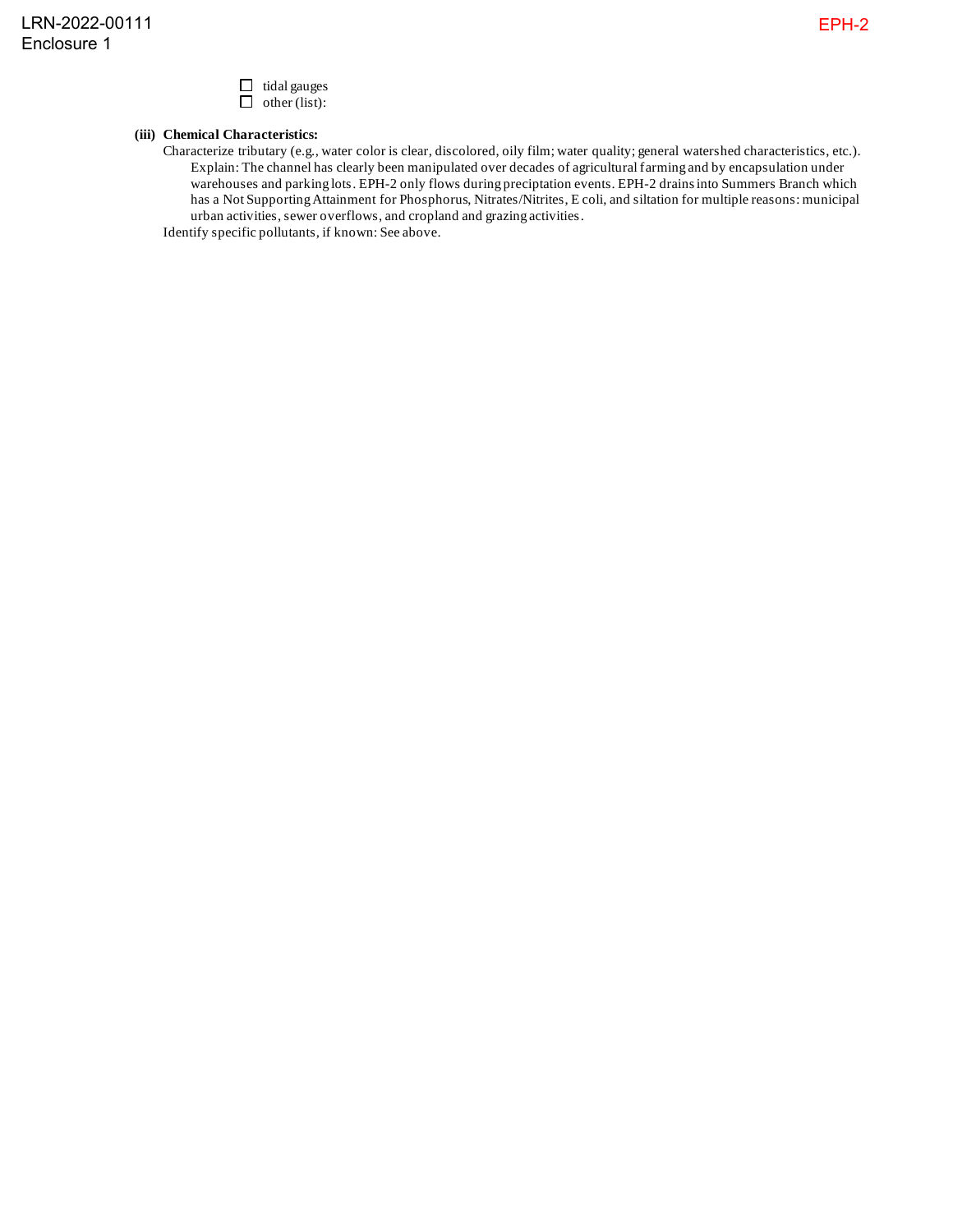

# **(iii) Chemical Characteristics:**

Characterize tributary (e.g., water color is clear, discolored, oily film; water quality; general watershed characteristics, etc.). Explain: The channel has clearly been manipulated over decades of agricultural farming and by encapsulation under warehouses and parking lots. EPH-2 only flows during preciptation events. EPH-2 drains into Summers Branch which has a Not Supporting Attainment for Phosphorus, Nitrates/Nitrites, E coli, and siltation for multiple reasons: municipal urban activities, sewer overflows, and cropland and grazing activities.

Identify specific pollutants, if known: See above.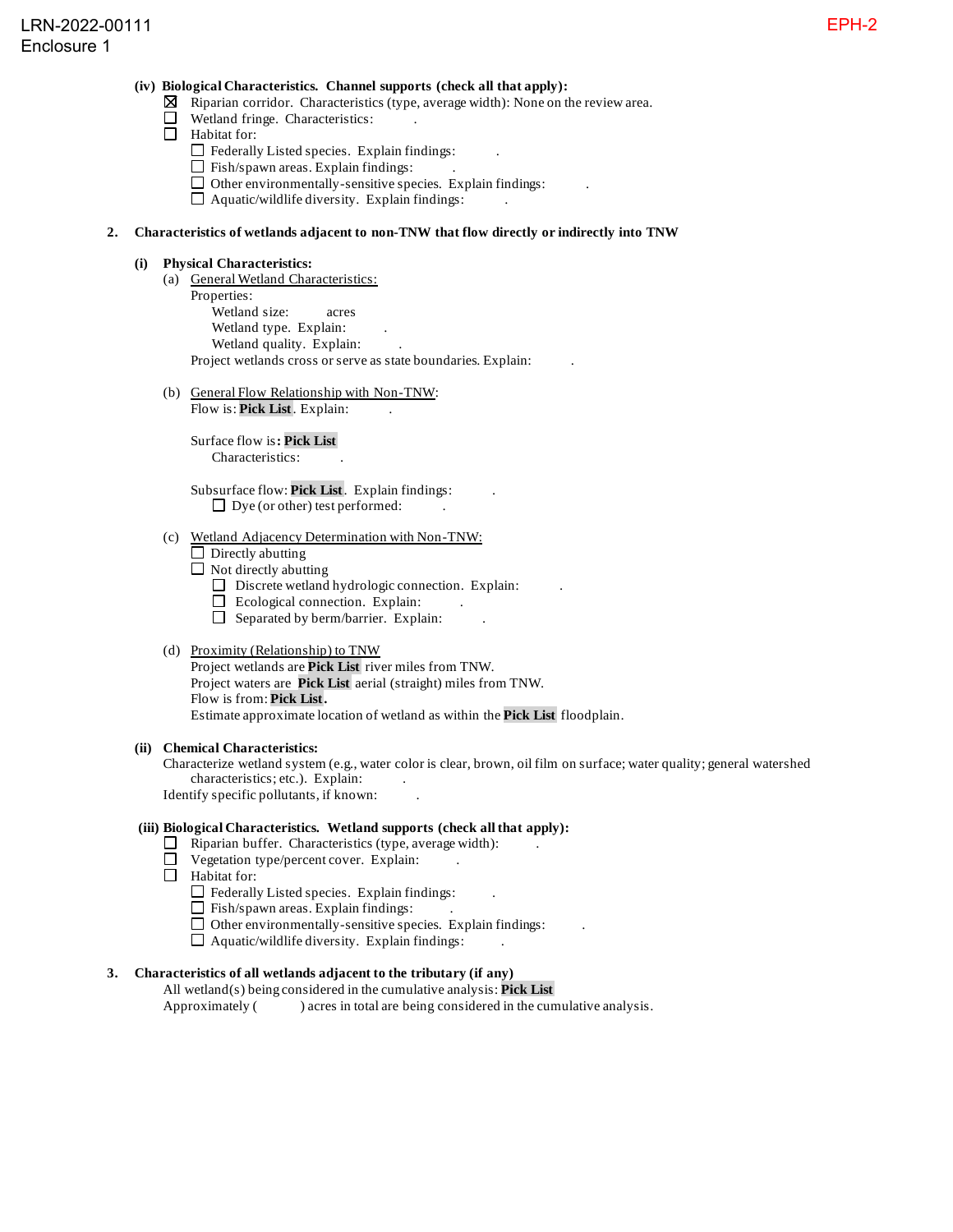## **(iv) Biological Characteristics. Channel supports (check all that apply):**

- $\boxtimes$  Riparian corridor. Characteristics (type, average width): None on the review area.
- Wetland fringe. Characteristics: .
- Habitat for:
	- $\Box$  Federally Listed species. Explain findings:
	- $\Box$  Fish/spawn areas. Explain findings:
	- $\Box$  Other environmentally-sensitive species. Explain findings:
	- $\Box$  Aquatic/wildlife diversity. Explain findings:

## **2. Characteristics of wetlands adjacent to non-TNW that flow directly or indirectly into TNW**

### **(i) Physical Characteristics:**

- (a) General Wetland Characteristics: Properties: Wetland size: acres Wetland type. Explain: Wetland quality. Explain: Project wetlands cross or serve as state boundaries. Explain: .
- (b) General Flow Relationship with Non-TNW:

Flow is: **Pick List**. Explain:

Surface flow is**: Pick List**  Characteristics: .

Subsurface flow: **Pick List**. Explain findings: .  $\Box$  Dye (or other) test performed:

## (c) Wetland Adjacency Determination with Non-TNW:

- $\Box$  Directly abutting
- $\Box$  Not directly abutting
	- $\Box$  Discrete wetland hydrologic connection. Explain:
	- $\Box$  Ecological connection. Explain:
	- $\Box$  Separated by berm/barrier. Explain:

## (d) Proximity (Relationship) to TNW

Project wetlands are **Pick List** river miles from TNW. Project waters are **Pick List** aerial (straight) miles from TNW. Flow is from: **Pick List.** Estimate approximate location of wetland as within the **Pick List** floodplain.

#### **(ii) Chemical Characteristics:**

Characterize wetland system (e.g., water color is clear, brown, oil film on surface; water quality; general watershed characteristics; etc.). Explain: Identify specific pollutants, if known: .

#### **(iii) Biological Characteristics. Wetland supports (check all that apply):**

- $\Box$  Riparian buffer. Characteristics (type, average width):
- $\Box$  Vegetation type/percent cover. Explain:
- $\Box$  Habitat for:
	- $\Box$  Federally Listed species. Explain findings:
	- $\Box$  Fish/spawn areas. Explain findings:
	- $\Box$  Other environmentally-sensitive species. Explain findings:
	- $\Box$  Aquatic/wildlife diversity. Explain findings:

# **3. Characteristics of all wetlands adjacent to the tributary (if any)**

All wetland(s) being considered in the cumulative analysis: **Pick List** Approximately () acres in total are being considered in the cumulative analysis.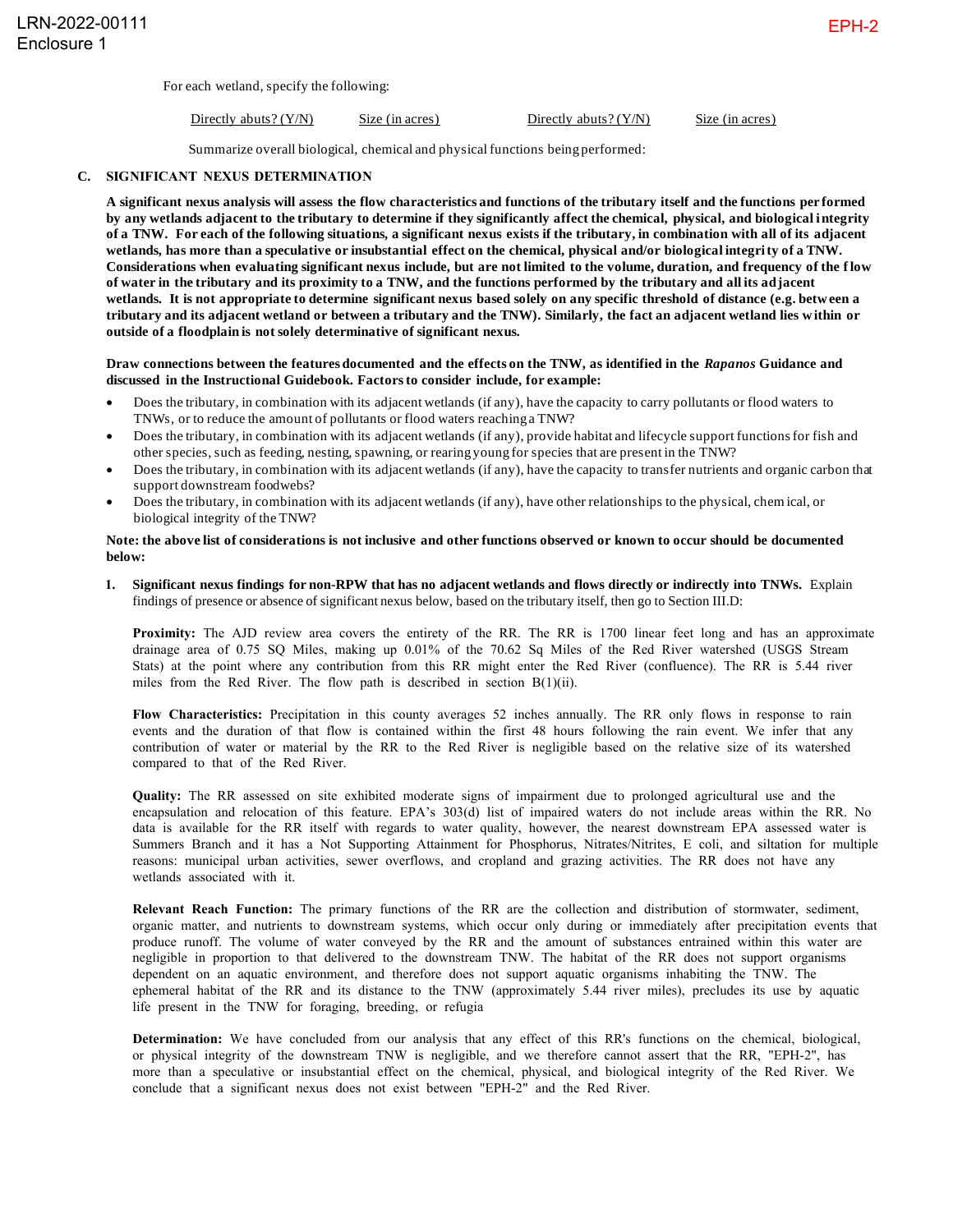For each wetland, specify the following:

Directly abuts? (Y/N) Size (in acres) Directly abuts? (Y/N) Size (in acres)

Summarize overall biological, chemical and physical functions being performed:

#### **C. SIGNIFICANT NEXUS DETERMINATION**

. **by any wetlands adjacent to the tributary to determine if they significantly affect the chemical, physical, and biological i ntegrity A significant nexus analysis will assess the flow characteristics and functions of the tributary itself and the functions per formed of a TNW. For each of the following situations, a significant nexus exists if the tributary, in combination with all of its adjacent wetlands, has more than a speculative or insubstantial effect on the chemical, physical and/or biological integrity of a TNW. Considerations when evaluating significant nexus include, but are not limited to the volume, duration, and frequency of the f low of water in the tributary and its proximity to a TNW, and the functions performed by the tributary and all its adjacent wetlands. It is not appropriate to determine significant nexus based solely on any specific threshold of distance (e.g. betw een a tributary and its adjacent wetland or between a tributary and the TNW). Similarly, the fact an adjacent wetland lies w ithin or outside of a floodplain is not solely determinative of significant nexus.**

#### **Draw connections between the features documented and the effects on the TNW, as identified in the** *Rapanos* **Guidance and discussed in the Instructional Guidebook. Factors to consider include, for example:**

- Does the tributary, in combination with its adjacent wetlands (if any), have the capacity to carry pollutants or flood waters to TNWs, or to reduce the amount of pollutants or flood waters reaching a TNW?
- Does the tributary, in combination with its adjacent wetlands (if any), provide habitat and lifecycle support functions for fish and other species, such as feeding, nesting, spawning, or rearing young for species that are present in the TNW?
- Does the tributary, in combination with its adjacent wetlands (if any), have the capacity to transfer nutrients and organic carbon that support downstream foodwebs?
- Does the tributary, in combination with its adjacent wetlands (if any), have other relationships to the physical, chem ical, or biological integrity of the TNW?

## **Note: the above list of considerations is not inclusive and other functions observed or known to occur should be documented below:**

**1. Significant nexus findings for non-RPW that has no adjacent wetlands and flows directly or indirectly into TNWs.** Explain findings of presence or absence of significant nexus below, based on the tributary itself, then go to Section III.D:

**Proximity:** The AJD review area covers the entirety of the RR. The RR is 1700 linear feet long and has an approximate drainage area of 0.75 SQ Miles, making up 0.01% of the 70.62 Sq Miles of the Red River watershed (USGS Stream Stats) at the point where any contribution from this RR might enter the Red River (confluence). The RR is 5.44 river miles from the Red River. The flow path is described in section B(1)(ii).

**Flow Characteristics:** Precipitation in this county averages 52 inches annually. The RR only flows in response to rain events and the duration of that flow is contained within the first 48 hours following the rain event. We infer that any contribution of water or material by the RR to the Red River is negligible based on the relative size of its watershed compared to that of the Red River.

**Quality:** The RR assessed on site exhibited moderate signs of impairment due to prolonged agricultural use and the encapsulation and relocation of this feature. EPA's 303(d) list of impaired waters do not include areas within the RR. No data is available for the RR itself with regards to water quality, however, the nearest downstream EPA assessed water is Summers Branch and it has a Not Supporting Attainment for Phosphorus, Nitrates/Nitrites, E coli, and siltation for multiple reasons: municipal urban activities, sewer overflows, and cropland and grazing activities. The RR does not have any wetlands associated with it.

**Relevant Reach Function:** The primary functions of the RR are the collection and distribution of stormwater, sediment, organic matter, and nutrients to downstream systems, which occur only during or immediately after precipitation events that produce runoff. The volume of water conveyed by the RR and the amount of substances entrained within this water are negligible in proportion to that delivered to the downstream TNW. The habitat of the RR does not support organisms dependent on an aquatic environment, and therefore does not support aquatic organisms inhabiting the TNW. The ephemeral habitat of the RR and its distance to the TNW (approximately 5.44 river miles), precludes its use by aquatic life present in the TNW for foraging, breeding, or refugia

**Determination:** We have concluded from our analysis that any effect of this RR's functions on the chemical, biological, or physical integrity of the downstream TNW is negligible, and we therefore cannot assert that the RR, "EPH-2", has more than a speculative or insubstantial effect on the chemical, physical, and biological integrity of the Red River. We conclude that a significant nexus does not exist between "EPH-2" and the Red River.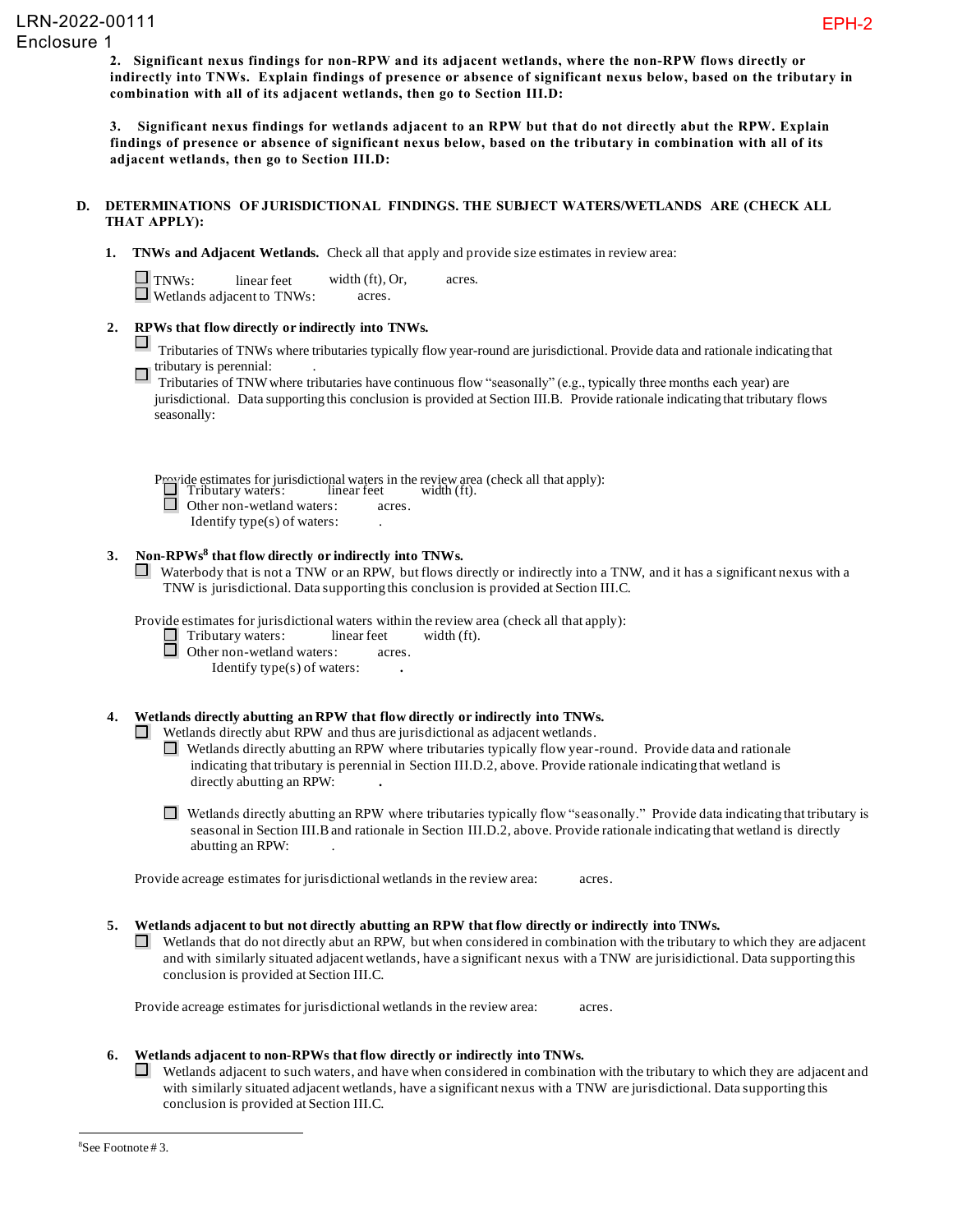**2. Significant nexus findings for non-RPW and its adjacent wetlands, where the non-RPW flows directly or indirectly into TNWs. Explain findings of presence or absence of significant nexus below, based on the tributary in combination with all of its adjacent wetlands, then go to Section III.D:**

**3. Significant nexus findings for wetlands adjacent to an RPW but that do not directly abut the RPW. Explain findings of presence or absence of significant nexus below, based on the tributary in combination with all of its adjacent wetlands, then go to Section III.D:**

# **D. DETERMINATIONS OF JURISDICTIONAL FINDINGS. THE SUBJECT WATERS/WETLANDS ARE (CHECK ALL THAT APPLY):**

**1. TNWs and Adjacent Wetlands.** Check all that apply and provide size estimates in review area:

| $\Box$ TNWs: | linear feet                        | width $(ft)$ , Or, | acres. |
|--------------|------------------------------------|--------------------|--------|
|              | $\perp$ Wetlands adjacent to TNWs: | acres.             |        |

# **2. RPWs that flow directly or indirectly into TNWs.**

ш Tributaries of TNWs where tributaries typically flow year-round are jurisdictional. Provide data and rationale indicating that tributary is perennial:

Tributaries of TNW where tributaries have continuous flow "seasonally" (e.g., typically three months each year) are jurisdictional. Data supporting this conclusion is provided at Section III.B. Provide rationale indicating that tributary flows seasonally:

Provide estimates for jurisdictional waters in the review area (check all that apply):<br>
Tributary waters: linear feet width (ft). Other non-wetland waters: acres.

Identify type(s) of waters: .

# **3. Non-RPWs<sup>8</sup> that flow directly or indirectly into TNWs.**

 $\Box$  Waterbody that is not a TNW or an RPW, but flows directly or indirectly into a TNW, and it has a significant nexus with a TNW is jurisdictional. Data supporting this conclusion is provided at Section III.C.

Provide estimates for jurisdictional waters within the review area (check all that apply):

Tributary waters: linear feet width (ft).

**Other non-wetland waters:** acres.

Identify type(s) of waters: **.**

# **4. Wetlands directly abutting an RPW that flow directly or indirectly into TNWs.**

 $\Box$  Wetlands directly abut RPW and thus are jurisdictional as adjacent wetlands.

Wetlands directly abutting an RPW where tributaries typically flow year-round. Provide data and rationale indicating that tributary is perennial in Section III.D.2, above. Provide rationale indicating that wetland is directly abutting an RPW: **.**

 $\Box$  Wetlands directly abutting an RPW where tributaries typically flow "seasonally." Provide data indicating that tributary is seasonal in Section III.B and rationale in Section III.D.2, above. Provide rationale indicating that wetland is directly abutting an RPW: .

Provide acreage estimates for jurisdictional wetlands in the review area: acres.

**5. Wetlands adjacent to but not directly abutting an RPW that flow directly or indirectly into TNWs.**

 $\Box$  Wetlands that do not directly abut an RPW, but when considered in combination with the tributary to which they are adjacent and with similarly situated adjacent wetlands, have a significant nexus with a TNW are jurisidictional. Data supporting this conclusion is provided at Section III.C.

Provide acreage estimates for jurisdictional wetlands in the review area: acres.

# **6. Wetlands adjacent to non-RPWs that flow directly or indirectly into TNWs.**

 $\Box$ Wetlands adjacent to such waters, and have when considered in combination with the tributary to which they are adjacent and with similarly situated adjacent wetlands, have a significant nexus with a TNW are jurisdictional. Data supporting this conclusion is provided at Section III.C.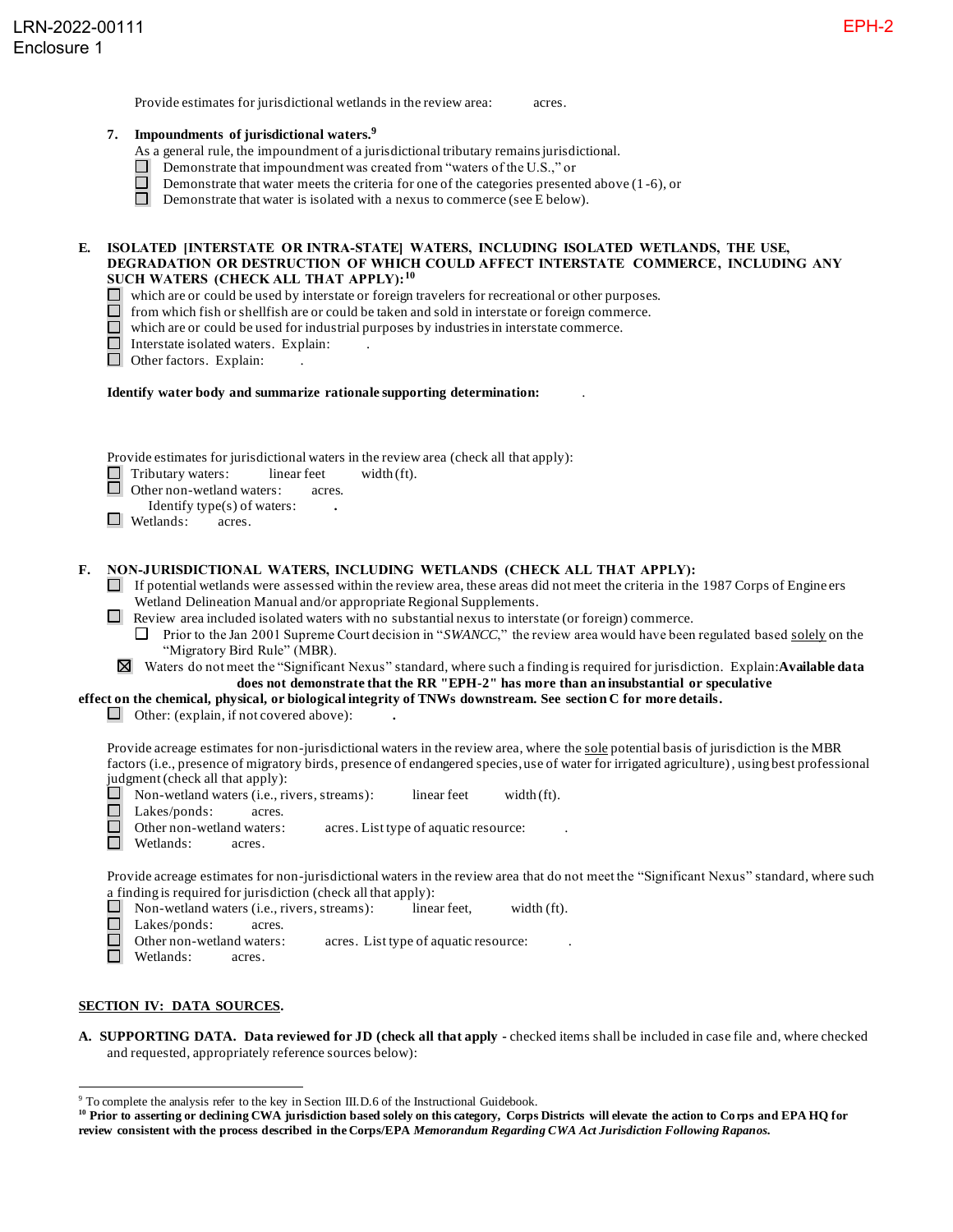Provide estimates for jurisdictional wetlands in the review area: acres.

- **7. Impoundments of jurisdictional waters. 9**
	- As a general rule, the impoundment of a jurisdictional tributary remains jurisdictional.
	- Demonstrate that impoundment was created from "waters of the U.S.," or
	- Demonstrate that water meets the criteria for one of the categories presented above (1 -6), or
	- Demonstrate that water is isolated with a nexus to commerce (see E below).

#### **E. ISOLATED [INTERSTATE OR INTRA-STATE] WATERS, INCLUDING ISOLATED WETLANDS, THE USE, DEGRADATION OR DESTRUCTION OF WHICH COULD AFFECT INTERSTATE COMMERCE, INCLUDING ANY SUCH WATERS (CHECK ALL THAT APPLY):<sup>10</sup>**

- which are or could be used by interstate or foreign travelers for recreational or other purposes.
- from which fish or shellfish are or could be taken and sold in interstate or foreign commerce.
- $\Box$ which are or could be used for industrial purposes by industries in interstate commerce.
- □ Interstate isolated waters. Explain:
- Other factors. Explain:

#### **Identify water body and summarize rationale supporting determination:** .

Provide estimates for jurisdictional waters in the review area (check all that apply):

 $\Box$  Tributary waters: linear feet width (ft).<br> $\Box$  Other non-wetland waters: acres.

Other non-wetland waters: acres.

- Identify type(s) of waters: **.**
- Wetlands: acres.

#### **F. NON-JURISDICTIONAL WATERS, INCLUDING WETLANDS (CHECK ALL THAT APPLY):**

- $\Box$  If potential wetlands were assessed within the review area, these areas did not meet the criteria in the 1987 Corps of Engine ers Wetland Delineation Manual and/or appropriate Regional Supplements.
- Review area included isolated waters with no substantial nexus to interstate (or foreign) commerce.
	- **Prior to the Jan 2001 Supreme Court decision in "***SWANCC***," the review area would have been regulated based <u>solely</u> on the** "Migratory Bird Rule" (MBR).
- Waters do not meet the "Significant Nexus" standard, where such a finding is required for jurisdiction. Explain:**Available data**  ⊠ **does not demonstrate that the RR "EPH-2" has more than an insubstantial or speculative**

**effect on the chemical, physical, or biological integrity of TNWs downstream. See section C for more details.** 

Other: (explain, if not covered above): **.**

Provide acreage estimates for non-jurisdictional waters in the review area, where the sole potential basis of jurisdiction is the MBR factors (i.e., presence of migratory birds, presence of endangered species, use of water for irrigated agriculture), using best professional judgment (check all that apply):<br> $\Box$  Non-wetland waters (i.e. ri

- Non-wetland waters (i.e., rivers, streams): linear feet width (ft).
- $\Box$ Lakes/ponds: acres.
- П Other non-wetland waters: acres. List type of aquatic resource:
- m. Wetlands: acres.

Provide acreage estimates for non-jurisdictional waters in the review area that do not meet the "Significant Nexus" standard, where such a finding is required for jurisdiction (check all that apply):

- $\Box$  Non-wetland waters (i.e., rivers, streams): linear feet, width (ft).
- Lakes/ponds: acres.
- $\Box$ Other non-wetland waters: acres. List type of aquatic resource:
- $\Box$ Wetlands: acres.

## **SECTION IV: DATA SOURCES.**

**A. SUPPORTING DATA. Data reviewed for JD (check all that apply -** checked items shall be included in case file and, where checked and requested, appropriately reference sources below):

<sup>&</sup>lt;sup>9</sup> To complete the analysis refer to the key in Section III.D.6 of the Instructional Guidebook.

**<sup>10</sup> Prior to asserting or declining CWA jurisdiction based solely on this category, Corps Districts will elevate the action to Corps and EPA HQ for review consistent with the process described in the Corps/EPA** *Memorandum Regarding CWA Act Jurisdiction Following Rapanos.*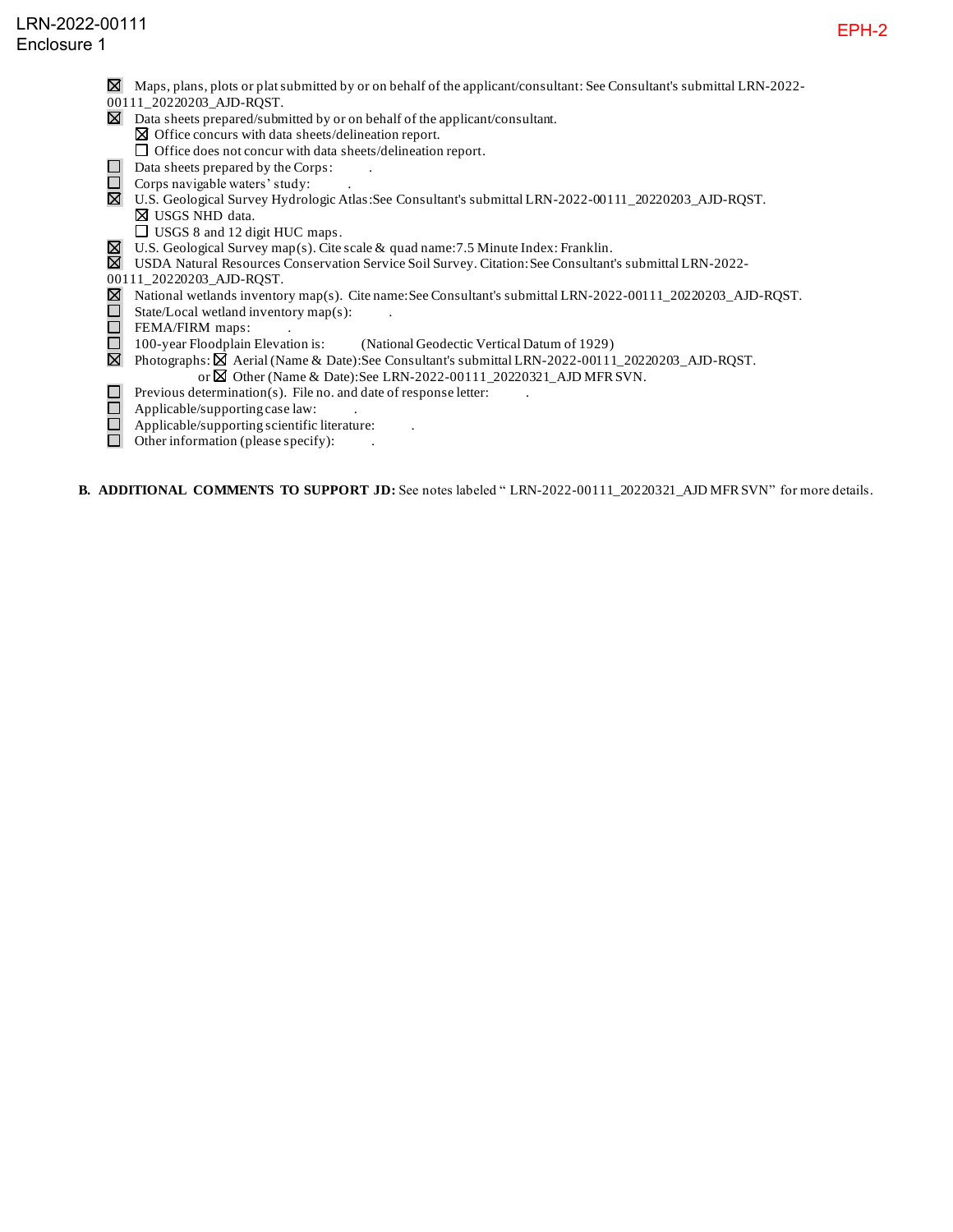- $\boxtimes$  Maps, plans, plots or plat submitted by or on behalf of the applicant/consultant: See Consultant's submittal LRN-2022-
- 00111\_20220203\_AJD-RQST.
- $\boxtimes$  Data sheets prepared/submitted by or on behalf of the applicant/consultant.
- $\boxtimes$  Office concurs with data sheets/delineation report.
- $\Box$  Office does not concur with data sheets/delineation report.  $\Box$  Data sheets prepared by the Corps:
- $\Box$  Corps navigable waters' study:
- U.S. Geological Survey Hydrologic Atlas:See Consultant's submittal LRN-2022-00111\_20220203\_AJD-RQST.
	- USGS NHD data.
	- □ USGS 8 and 12 digit HUC maps.
	- U.S. Geological Survey map(s). Cite scale & quad name:7.5 Minute Index: Franklin.
- USDA Natural Resources Conservation Service Soil Survey. Citation:See Consultant's submittal LRN-2022-
- 00111\_20220203\_AJD-RQST.
- National wetlands inventory map(s). Cite name:See Consultant's submittal LRN-2022-00111\_20220203\_AJD-RQST.
- $\bar{\Pi}$ State/Local wetland inventory map(s):
- FEMA/FIRM maps:
- $\bar{\Box}$ 100-year Floodplain Elevation is: (National Geodectic Vertical Datum of 1929)
- $\boxtimes$  Photographs:  $\boxtimes$  Aerial (Name & Date): See Consultant's submittal LRN-2022-00111\_20220203\_AJD-RQST. or  $\boxtimes$  Other (Name & Date): See LRN-2022-00111\_20220321\_AJD MFR SVN.
- $\Box$ Previous determination(s). File no. and date of response letter:
- $\Box$ Applicable/supporting case law: .
- $\Box$ Applicable/supporting scientific literature: .
- $\Box$ Other information (please specify): .

**B. ADDITIONAL COMMENTS TO SUPPORT JD:** See notes labeled " LRN-2022-00111\_20220321\_AJD MFR SVN" for more details.